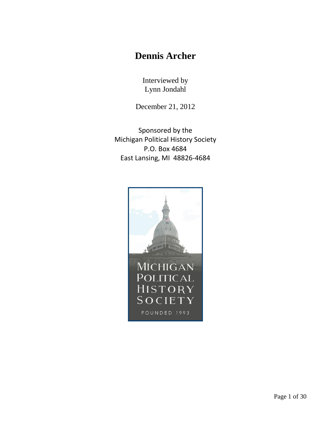## **Dennis Archer**

Interviewed by Lynn Jondahl

December 21, 2012

Sponsored by the Michigan Political History Society P.O. Box 4684 East Lansing, MI 48826-4684

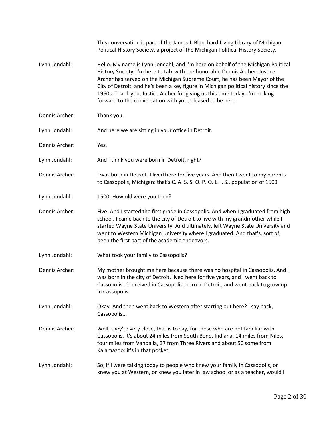|                | This conversation is part of the James J. Blanchard Living Library of Michigan<br>Political History Society, a project of the Michigan Political History Society.                                                                                                                                                                                                                                                                                                               |
|----------------|---------------------------------------------------------------------------------------------------------------------------------------------------------------------------------------------------------------------------------------------------------------------------------------------------------------------------------------------------------------------------------------------------------------------------------------------------------------------------------|
| Lynn Jondahl:  | Hello. My name is Lynn Jondahl, and I'm here on behalf of the Michigan Political<br>History Society. I'm here to talk with the honorable Dennis Archer. Justice<br>Archer has served on the Michigan Supreme Court, he has been Mayor of the<br>City of Detroit, and he's been a key figure in Michigan political history since the<br>1960s. Thank you, Justice Archer for giving us this time today. I'm looking<br>forward to the conversation with you, pleased to be here. |
| Dennis Archer: | Thank you.                                                                                                                                                                                                                                                                                                                                                                                                                                                                      |
| Lynn Jondahl:  | And here we are sitting in your office in Detroit.                                                                                                                                                                                                                                                                                                                                                                                                                              |
| Dennis Archer: | Yes.                                                                                                                                                                                                                                                                                                                                                                                                                                                                            |
| Lynn Jondahl:  | And I think you were born in Detroit, right?                                                                                                                                                                                                                                                                                                                                                                                                                                    |
| Dennis Archer: | I was born in Detroit. I lived here for five years. And then I went to my parents<br>to Cassopolis, Michigan: that's C. A. S. S. O. P. O. L. I. S., population of 1500.                                                                                                                                                                                                                                                                                                         |
| Lynn Jondahl:  | 1500. How old were you then?                                                                                                                                                                                                                                                                                                                                                                                                                                                    |
| Dennis Archer: | Five. And I started the first grade in Cassopolis. And when I graduated from high<br>school, I came back to the city of Detroit to live with my grandmother while I<br>started Wayne State University. And ultimately, left Wayne State University and<br>went to Western Michigan University where I graduated. And that's, sort of,<br>been the first part of the academic endeavors.                                                                                         |
| Lynn Jondahl:  | What took your family to Cassopolis?                                                                                                                                                                                                                                                                                                                                                                                                                                            |
| Dennis Archer: | My mother brought me here because there was no hospital in Cassopolis. And I<br>was born in the city of Detroit, lived here for five years, and I went back to<br>Cassopolis. Conceived in Cassopolis, born in Detroit, and went back to grow up<br>in Cassopolis.                                                                                                                                                                                                              |
| Lynn Jondahl:  | Okay. And then went back to Western after starting out here? I say back,<br>Cassopolis                                                                                                                                                                                                                                                                                                                                                                                          |
| Dennis Archer: | Well, they're very close, that is to say, for those who are not familiar with<br>Cassopolis. It's about 24 miles from South Bend, Indiana, 14 miles from Niles,<br>four miles from Vandalia, 37 from Three Rivers and about 50 some from<br>Kalamazoo: it's in that pocket.                                                                                                                                                                                                     |
| Lynn Jondahl:  | So, if I were talking today to people who knew your family in Cassopolis, or<br>knew you at Western, or knew you later in law school or as a teacher, would I                                                                                                                                                                                                                                                                                                                   |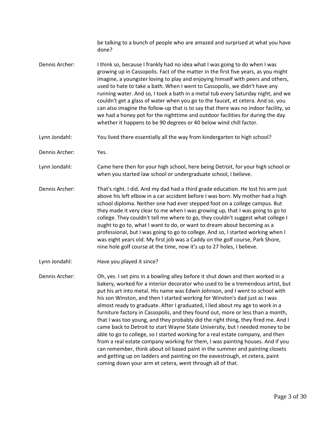be talking to a bunch of people who are amazed and surprised at what you have done?

- [Dennis Archer:](https://www.rev.com/transcript-editor/Edit?token=cJCSuj_IXrkeAieK1AD9VKw4ALPs-LFS6EmZqZ8VDnHBBRyig6FwW8c0RbsPU2KUm6agbTxnnwkBtOpHTudCS-13XKU&loadFrom=DocumentSpeakerNameDeeplink&ts=188.12) I think so, because I frankly had no idea what I was going to do when I was growing up in Cassopolis. Fact of the matter in the first five years, as you might imagine, a youngster loving to play and enjoying himself with peers and others, used to hate to take a bath. When I went to Cassopolis, we didn't have any running water. And so, I took a bath in a metal tub every Saturday night, and we couldn't get a glass of water when you go to the faucet, et cetera. And so, you can also imagine the follow-up that is to say that there was no indoor facility, so we had a honey pot for the nighttime and outdoor facilities for during the day whether it happens to be 90 degrees or 40 below wind chill factor.
- [Lynn Jondahl:](https://www.rev.com/transcript-editor/Edit?token=uG-RdW8GFCXlM9bbsNndxAcUO2CSFPtRQ65An4syzQDWtibh4Ck4zoSKvar56QfJIdOQ__Yn2DDZGhHUcmu3gj2RbxY&loadFrom=DocumentSpeakerNameDeeplink&ts=244.18) You lived there essentially all the way from kindergarten to high school?
- [Dennis Archer:](https://www.rev.com/transcript-editor/Edit?token=-b1689Zv2Vnk3GiNthu5ITxSY3cXJeA8HmWf7Tz9UwO3gwUqhzdl2pXyB_QBshGZd5F5Ao_D4ANbE2lVwa9A4opuxaU&loadFrom=DocumentSpeakerNameDeeplink&ts=250.65) Yes.
- [Lynn Jondahl:](https://www.rev.com/transcript-editor/Edit?token=eX3LScZv6faGfYh4jPuMawr4rn0dhNFj7Q9CCGRWBovmvRVJgN6dn8mqAKa6JjOs3rJZkxgyaNlUlxezIssb_BeAUkA&loadFrom=DocumentSpeakerNameDeeplink&ts=253.13) Came here then for your high school, here being Detroit, for your high school or when you started law school or undergraduate school, I believe.
- [Dennis Archer:](https://www.rev.com/transcript-editor/Edit?token=eUHqzZWtSD-INgA2CiXruxAYct_MRbNMBc8uu58LBlcqnfaGeHIvs5X_-OkF18NLEzka3w-8StduYI_0T2ge98mP4Ww&loadFrom=DocumentSpeakerNameDeeplink&ts=264.99) That's right. I did. And my dad had a third grade education. He lost his arm just above his left elbow in a car accident before I was born. My mother had a high school diploma. Neither one had ever stepped foot on a college campus. But they made it very clear to me when I was growing up, that I was going to go to college. They couldn't tell me where to go, they couldn't suggest what college I ought to go to, what I want to do, or want to dream about becoming as a professional, but I was going to go to college. And so, I started working when I was eight years old. My first job was a Caddy on the golf course, Park Shore, nine hole golf course at the time, now it's up to 27 holes, I believe.
- [Lynn Jondahl:](https://www.rev.com/transcript-editor/Edit?token=l0g9_Sk4fOIdul1VNqkl7K9pc96hM0J7YsOE_tH1jgwC_5nWT5yJ_6jatNHKEhwVULofST6mrDHGaGb-N8M9ZlVKC70&loadFrom=DocumentSpeakerNameDeeplink&ts=319.56) Have you played it since?

[Dennis Archer:](https://www.rev.com/transcript-editor/Edit?token=oSJxfk8U1kDhv2WfZ0tnf-CGCmtQ1DBfi5Y76EuP6zuXJLxpW-80Rk5Z4-2PJXjfHk52bHWu0kVoUrNwbJVeqJo1jKQ&loadFrom=DocumentSpeakerNameDeeplink&ts=320.6) Oh, yes. I set pins in a bowling alley before it shut down and then worked in a bakery, worked for a interior decorator who used to be a tremendous artist, but put his art into metal. His name was Edwin Johnson, and I went to school with his son Winston, and then I started working for Winston's dad just as I was almost ready to graduate. After I graduated, I lied about my age to work in a furniture factory in Cassopolis, and they found out, more or less than a month, that I was too young, and they probably did the right thing, they fired me. And I came back to Detroit to start Wayne State University, but I needed money to be able to go to college, so I started working for a real estate company, and then from a real estate company working for them, I was painting houses. And if you can remember, think about oil based paint in the summer and painting closets and getting up on ladders and painting on the eavestrough, et cetera, paint coming down your arm et cetera, went through all of that.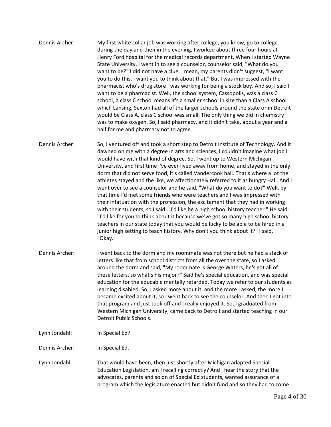- [Dennis Archer:](https://www.rev.com/transcript-editor/Edit?token=Q_jbcWjvzaAcq1fQRuL7gS4pw0SdwXgNam42krZJW1yC3dmmixrXLZV1-9m-GlzW61bleLkw5xBZKiC6JaseyvDi9Ws&loadFrom=DocumentSpeakerNameDeeplink&ts=406.64) My first white collar job was working after college, you know, go to college during the day and then in the evening, I worked about three four hours at Henry Ford hospital for the medical records department. When I started Wayne State University, I went in to see a counselor, counselor said, "What do you want to be?" I did not have a clue. I mean, my parents didn't suggest, "I want you to do this, I want you to think about that." But I was impressed with the pharmacist who's drug store I was working for being a stock boy. And so, I said I want to be a pharmacist. Well, the school system, Cassopolis, was a class C school, a class C school means it's a smaller school in size than a Class A school which Lansing, Sexton had all of the larger schools around the state or in Detroit would be Class A, class C school was small. The only thing we did in chemistry was to make oxygen. So, I said pharmacy, and it didn't take, about a year and a half for me and pharmacy not to agree.
- [Dennis Archer:](https://www.rev.com/transcript-editor/Edit?token=o56BwDJhy-Fzl5NnEm2AHvi1o5OLmepFBDx8uyO1X_0FWvCplqb8g2XFxVjAuphbJIn5-GM8j-umi8rZvcUz0ZsTbLg&loadFrom=DocumentSpeakerNameDeeplink&ts=488.83) So, I ventured off and took a short step to Detroit Institute of Technology. And it dawned on me with a degree in arts and sciences, I couldn't imagine what job I would have with that kind of degree. So, I went up to Western Michigan University, and first time I've ever lived away from home, and stayed in the only dorm that did not serve food, it's called Vandercook hall. That's where a lot the athletes stayed and the like, we affectionately referred to it as hungry Hall. And I went over to see a counselor and he said, "What do you want to do?" Well, by that time I'd met some friends who were teachers and I was impressed with their infatuation with the profession, the excitement that they had in working with their students, so I said: "I'd like be a high school history teacher." He said: "I'd like for you to think about it because we've got so many high school history teachers in our state today that you would be lucky to be able to be hired in a junior high setting to teach history. Why don't you think about it?" I said, "Okay."
- [Dennis Archer:](https://www.rev.com/transcript-editor/Edit?token=ensZvnKKr-URf4aAKN1F7GRm2tjhiEXVg_gYzSJOLcKDjV-Jik63n2w25lB-ew2h9hNe-e0btwPdGzJU2j3l5iqtqvA&loadFrom=DocumentSpeakerNameDeeplink&ts=565.53) I went back to the dorm and my roommate was not there but he had a stack of letters like that from school districts from all the over the state, so I asked around the dorm and said, "My roommate is George Waters, he's got all of these letters, so what's his major?" Said he's special education, and was special education for the educable mentally retarded. Today we refer to our students as learning disabled. So, I asked more about it, and the more I asked, the more I became excited about it, so I went back to see the counselor. And then I got into that program and just took off and I really enjoyed it. So, I graduated from Western Michigan University, came back to Detroit and started teaching in our Detroit Public Schools.
- [Lynn Jondahl:](https://www.rev.com/transcript-editor/Edit?token=wSVXGMm6dlOsdVVG6qfogaqlKaRII4QuHcjLLwdo2du5iUg0t4JV8VYR0VGdM-VMgoFws726w9XHWpuatB3fA7aaamI&loadFrom=DocumentSpeakerNameDeeplink&ts=612.35) In Special Ed?

[Dennis Archer:](https://www.rev.com/transcript-editor/Edit?token=P2XINYYQlUYe5t6yCd1KN5WPJrLoadPlSG2CaU20-MuTCkcyTlMBjTia0C9O3bYO-hrXL2l6tHC2Pe9lOv-6z76PLPg&loadFrom=DocumentSpeakerNameDeeplink&ts=613.11) In Special Ed.

[Lynn Jondahl:](https://www.rev.com/transcript-editor/Edit?token=SCZTcVI199aPOiSlsCmsjyk7_C4chBeDNCuz2IudoEkfEUYMJyN8G5qFvmRJ1XNpOjKmejN6Fja1mZg6HGpl9QeVMZ8&loadFrom=DocumentSpeakerNameDeeplink&ts=614.26) That would have been, then just shortly after Michigan adapted Special Education Legislation, am I recalling correctly? And I hear the story that the advocates, parents and so on of Special Ed students, wanted assurance of a program which the legislature enacted but didn't fund and so they had to come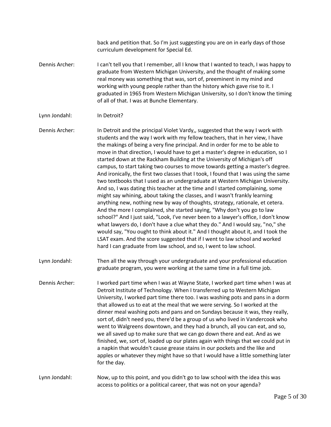back and petition that. So I'm just suggesting you are on in early days of those curriculum development for Special Ed.

[Dennis Archer:](https://www.rev.com/transcript-editor/Edit?token=q5DUULDQVzMLxgVXRd4QF_X8zjcEgHitOrIYMaw8kllHIhbt7_HINTG15lYdvM53UumlLopb0ydafgZ_5kMtinU-Qqo&loadFrom=DocumentSpeakerNameDeeplink&ts=656.43) I can't tell you that I remember, all I know that I wanted to teach, I was happy to graduate from Western Michigan University, and the thought of making some real money was something that was, sort of, preeminent in my mind and working with young people rather than the history which gave rise to it. I graduated in 1965 from Western Michigan University, so I don't know the timing of all of that. I was at Bunche Elementary.

## [Lynn Jondahl:](https://www.rev.com/transcript-editor/Edit?token=GCtyircEchqodmEDfGItRMGAspI-hmyqq21rBxFUJCFZylz99rAVGIOLXB5zUVDPtReDcnZvv2Y2DykD3pcjlE3rtG0&loadFrom=DocumentSpeakerNameDeeplink&ts=691.33) In Detroit?

[Dennis Archer:](https://www.rev.com/transcript-editor/Edit?token=SbzDvgif97DilsrLDtQJfVbnc2RO6HdmlO19CCZFHEzvZdvrVcuUKCTUMLVayTGPnkfTWzmECiDPJqmBlfUFUjf7gPE&loadFrom=DocumentSpeakerNameDeeplink&ts=693.67) In Detroit and the principal Violet Vardy,, suggested that the way I work with students and the way I work with my fellow teachers, that in her view, I have the makings of being a very fine principal. And in order for me to be able to move in that direction, I would have to get a master's degree in education, so I started down at the Rackham Building at the University of Michigan's off campus, to start taking two courses to move towards getting a master's degree. And ironically, the first two classes that I took, I found that I was using the same two textbooks that I used as an undergraduate at Western Michigan University. And so, I was dating this teacher at the time and I started complaining, some might say whining, about taking the classes, and I wasn't frankly learning anything new, nothing new by way of thoughts, strategy, rationale, et cetera. And the more I complained, she started saying, "Why don't you go to law school?" And I just said, "Look, I've never been to a lawyer's office, I don't know what lawyers do, I don't have a clue what they do." And I would say, "no," she would say, "You ought to think about it." And I thought about it, and I took the LSAT exam. And the score suggested that if I went to law school and worked hard I can graduate from law school, and so, I went to law school.

- [Lynn Jondahl:](https://www.rev.com/transcript-editor/Edit?token=REMH4BPy7lBH6BovpCJ-0II6LtEsEmRagMX_flUHW0HMoMREpcZbszF7T7jSjmAAbf_QH-w5xcW0G4_lxcIwxf51L2Y&loadFrom=DocumentSpeakerNameDeeplink&ts=813.39) Then all the way through your undergraduate and your professional education graduate program, you were working at the same time in a full time job.
- [Dennis Archer:](https://www.rev.com/transcript-editor/Edit?token=Qpvfq-GZ_S93ygaIw2HrfEJjpVUWw60jEvzOleH6YhqwpbqFkszxL5zuoY9qSBlAJVYZmRexT9lAzemxx9S4HqUdINk&loadFrom=DocumentSpeakerNameDeeplink&ts=828.19) I worked part time when I was at Wayne State, I worked part time when I was at Detroit Institute of Technology. When I transferred up to Western Michigan University, I worked part time there too. I was washing pots and pans in a dorm that allowed us to eat at the meal that we were serving. So I worked at the dinner meal washing pots and pans and on Sundays because it was, they really, sort of, didn't need you, there'd be a group of us who lived in Vandercook who went to Walgreens downtown, and they had a brunch, all you can eat, and so, we all saved up to make sure that we can go down there and eat. And as we finished, we, sort of, loaded up our plates again with things that we could put in a napkin that wouldn't cause grease stains in our pockets and the like and apples or whatever they might have so that I would have a little something later for the day.

## [Lynn Jondahl:](https://www.rev.com/transcript-editor/Edit?token=eVzX0NQUr5zt-cHTpF06zgx9uqy71qG9ojn6bb5LQpfhIj_fheKQV3aXDTLRvpEM5PAEB5JSJNZG-10T0Qz1clEHla8&loadFrom=DocumentSpeakerNameDeeplink&ts=900.01) Now, up to this point, and you didn't go to law school with the idea this was access to politics or a political career, that was not on your agenda?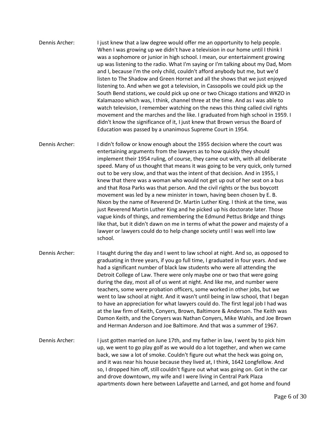- [Dennis Archer:](https://www.rev.com/transcript-editor/Edit?token=mSXftj21Bw-yoXAJbvEeDcyqMVwzNH7HT-Ls_EwERlN9m7Vayu-KuXreb-65771FrGvy4gZkj1ro1RX7VOAxzQYxurk&loadFrom=DocumentSpeakerNameDeeplink&ts=914.11) I just knew that a law degree would offer me an opportunity to help people. When I was growing up we didn't have a television in our home until I think I was a sophomore or junior in high school. I mean, our entertainment growing up was listening to the radio. What I'm saying or I'm talking about my Dad, Mom and I, because I'm the only child, couldn't afford anybody but me, but we'd listen to The Shadow and Green Hornet and all the shows that we just enjoyed listening to. And when we got a television, in Cassopolis we could pick up the South Bend stations, we could pick up one or two Chicago stations and WKZO in Kalamazoo which was, I think, channel three at the time. And as I was able to watch television, I remember watching on the news this thing called civil rights movement and the marches and the like. I graduated from high school in 1959. I didn't know the significance of it, I just knew that Brown versus the Board of Education was passed by a unanimous Supreme Court in 1954.
- [Dennis Archer:](https://www.rev.com/transcript-editor/Edit?token=ntwYH__V4SD2vj-ptObyQqkNn5D1uoAb6gfWddifmyTv89q055s6Vc8HjheTWbywK32tSRnbdIQWCiMp6mUH5wT3iWE&loadFrom=DocumentSpeakerNameDeeplink&ts=1017.2) I didn't follow or know enough about the 1955 decision where the court was entertaining arguments from the lawyers as to how quickly they should implement their 1954 ruling, of course, they came out with, with all deliberate speed. Many of us thought that means it was going to be very quick, only turned out to be very slow, and that was the intent of that decision. And in 1955, I knew that there was a woman who would not get up out of her seat on a bus and that Rosa Parks was that person. And the civil rights or the bus boycott movement was led by a new minister in town, having been chosen by E. B. Nixon by the name of Reverend Dr. Martin Luther King. I think at the time, was just Reverend Martin Luther King and he picked up his doctorate later. Those vague kinds of things, and remembering the Edmund Pettus Bridge and things like that, but it didn't dawn on me in terms of what the power and majesty of a lawyer or lawyers could do to help change society until I was well into law school.
- [Dennis Archer:](https://www.rev.com/transcript-editor/Edit?token=-YtKn9Cr628jcWkfXWQyOH4W-S22xHODp4ZDmH7K3VC1l33dFVPv1AhSWX83qQF4UnQjy4ZPUbLrcgzLbJoSPL--6XI&loadFrom=DocumentSpeakerNameDeeplink&ts=1111.19) I taught during the day and I went to law school at night. And so, as opposed to graduating in three years, if you go full time, I graduated in four years. And we had a significant number of black law students who were all attending the Detroit College of Law. There were only maybe one or two that were going during the day, most all of us went at night. And like me, and number were teachers, some were probation officers, some worked in other jobs, but we went to law school at night. And it wasn't until being in law school, that I began to have an appreciation for what lawyers could do. The first legal job I had was at the law firm of Keith, Conyers, Brown, Baltimore & Anderson. The Keith was Damon Keith, and the Conyers was Nathan Conyers, Mike Wahls, and Joe Brown and Herman Anderson and Joe Baltimore. And that was a summer of 1967.
- [Dennis Archer:](https://www.rev.com/transcript-editor/Edit?token=U8-0Ju8lAMBwzudX6VdJw4jAw6NtLmi5uSDBqgke5QBlr1lbvHoIEAA_CfU9MbC1ZayIlhsDBUYn5yuyPZR4I-DDZUQ&loadFrom=DocumentSpeakerNameDeeplink&ts=1186.21) I just gotten married on June 17th, and my father in law, I went by to pick him up, we went to go play golf as we would do a lot together, and when we came back, we saw a lot of smoke. Couldn't figure out what the heck was going on, and it was near his house because they lived at, I think, 1642 Longfellow. And so, I dropped him off, still couldn't figure out what was going on. Got in the car and drove downtown, my wife and I were living in Central Park Plaza apartments down here between Lafayette and Larned, and got home and found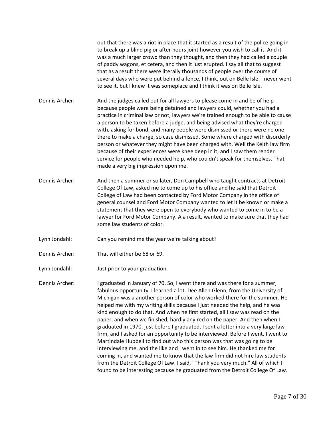out that there was a riot in place that it started as a result of the police going in to break up a blind pig or after hours joint however you wish to call it. And it was a much larger crowd than they thought, and then they had called a couple of paddy wagons, et cetera, and then it just erupted. I say all that to suggest that as a result there were literally thousands of people over the course of several days who were put behind a fence, I think, out on Belle Isle. I never went to see it, but I knew it was someplace and I think it was on Belle Isle.

- [Dennis Archer:](https://www.rev.com/transcript-editor/Edit?token=zFfAZ6w-mquE-uyk50EnCa1cgfzlLR1kvm9rC42_1NjSI0xwfnVfajTZgsFQX9Je4Jr6c_86Ww1Qzwr9_SDRrXATxww&loadFrom=DocumentSpeakerNameDeeplink&ts=1280.49) And the judges called out for all lawyers to please come in and be of help because people were being detained and lawyers could, whether you had a practice in criminal law or not, lawyers we're trained enough to be able to cause a person to be taken before a judge, and being advised what they're charged with, asking for bond, and many people were dismissed or there were no one there to make a charge, so case dismissed. Some where charged with disorderly person or whatever they might have been charged with. Well the Keith law firm because of their experiences were knee deep in it, and I saw them render service for people who needed help, who couldn't speak for themselves. That made a very big impression upon me.
- [Dennis Archer:](https://www.rev.com/transcript-editor/Edit?token=BfAabH5OvJPzSvRz7TKKwMm1cR0aUjXcUC_b4Yw2q6inEv1FCNxmTroi4SbLZGz5G1kG5Cxx1sYSqpVmVIBfSoMQrWM&loadFrom=DocumentSpeakerNameDeeplink&ts=1344.65) And then a summer or so later, Don Campbell who taught contracts at Detroit College Of Law, asked me to come up to his office and he said that Detroit College of Law had been contacted by Ford Motor Company in the office of general counsel and Ford Motor Company wanted to let it be known or make a statement that they were open to everybody who wanted to come in to be a lawyer for Ford Motor Company. A a result, wanted to make sure that they had some law students of color.
- [Lynn Jondahl:](https://www.rev.com/transcript-editor/Edit?token=wGhoURBwepCjfRWrwL0lOMmmKw-J5N1qKwR75JcddHAM-TovM0c4J13XluJo_XkKdvONJzMc9dozSe973c2GIKnJIhI&loadFrom=DocumentSpeakerNameDeeplink&ts=1392.73) Can you remind me the year we're talking about?
- [Dennis Archer:](https://www.rev.com/transcript-editor/Edit?token=25MjUwandIfPXZwt2sRNxtcplx_Y95sNB63K-eJsxyDcbErbjWTO9WkSWllREdYmNTT1n6UmZ0nMq193qN0eoUF5Ddo&loadFrom=DocumentSpeakerNameDeeplink&ts=1395.3) That will either be 68 or 69.
- [Lynn Jondahl:](https://www.rev.com/transcript-editor/Edit?token=KD4azN489q6KwLBQoZmqow2o7hjwR6wH-rMV9aDkoAs0_inbSZbbn37K0b6NxrOc1qYsW7PuYNd68cjWaHKG-siYEXM&loadFrom=DocumentSpeakerNameDeeplink&ts=1403.33) Just prior to your graduation.

[Dennis Archer:](https://www.rev.com/transcript-editor/Edit?token=ysNmSTpkHNXqA910jTvdoTm86JqSIq6AVwpqKhpYy2vg8NxjoLR89T-DquI5IIAhnuCms7Abnp05of0PqaIG59plIUA&loadFrom=DocumentSpeakerNameDeeplink&ts=1405.2) I graduated in January of 70. So, I went there and was there for a summer, fabulous opportunity, I learned a lot. Dee Allen Glenn, from the University of Michigan was a another person of color who worked there for the summer. He helped me with my writing skills because I just needed the help, and he was kind enough to do that. And when he first started, all I saw was read on the paper, and when we finished, hardly any red on the paper. And then when I graduated in 1970, just before I graduated, I sent a letter into a very large law firm, and I asked for an opportunity to be interviewed. Before I went, I went to Martindale Hubbell to find out who this person was that was going to be interviewing me, and the like and I went in to see him. He thanked me for coming in, and wanted me to know that the law firm did not hire law students from the Detroit College Of Law. I said, "Thank you very much." All of which I found to be interesting because he graduated from the Detroit College Of Law.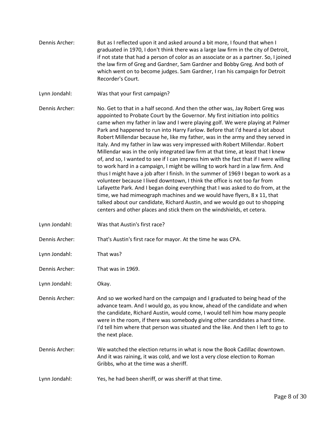- [Dennis Archer:](https://www.rev.com/transcript-editor/Edit?token=usDDemjUNiSvNW5ikoFUrLyzreJ9rnhwfMSoMYSzjlw0FVnbisHvhdzX5us2hQFwAqEzVpf0fJbt78HlD-DRxvBhpvo&loadFrom=DocumentSpeakerNameDeeplink&ts=1505.49) But as I reflected upon it and asked around a bit more, I found that when I graduated in 1970, I don't think there was a large law firm in the city of Detroit, if not state that had a person of color as an associate or as a partner. So, I joined the law firm of Greg and Gardner, Sam Gardner and Bobby Greg. And both of which went on to become judges. Sam Gardner, I ran his campaign for Detroit Recorder's Court.
- [Lynn Jondahl:](https://www.rev.com/transcript-editor/Edit?token=8KL6T_eyGan6gwZcezk4rQj8Gt46PrCF6S3b8UyF6SNq9aVRVOTtHIWR3bqqTvNN3vme8KowI4I56otUDyAhChWGd5A&loadFrom=DocumentSpeakerNameDeeplink&ts=1538.65) Was that your first campaign?

[Dennis Archer:](https://www.rev.com/transcript-editor/Edit?token=OjIHNTP9_oiwEHwlyJf1r9qgxatFtZ6aRK5-xDNGNgods8BaTDYWH2dWF1PjtTU-VOmZKGBK-W5pUaIuUdd8Mx98Ec0&loadFrom=DocumentSpeakerNameDeeplink&ts=1541.17) No. Get to that in a half second. And then the other was, Jay Robert Greg was appointed to Probate Court by the Governor. My first initiation into politics came when my father in law and I were playing golf. We were playing at Palmer Park and happened to run into Harry Farlow. Before that I'd heard a lot about Robert Millendar because he, like my father, was in the army and they served in Italy. And my father in law was very impressed with Robert Millendar. Robert Millendar was in the only integrated law firm at that time, at least that I knew of, and so, I wanted to see if I can impress him with the fact that if I were willing to work hard in a campaign, I might be willing to work hard in a law firm. And thus I might have a job after I finish. In the summer of 1969 I began to work as a volunteer because I lived downtown, I think the office is not too far from Lafayette Park. And I began doing everything that I was asked to do from, at the time, we had mimeograph machines and we would have flyers, 8 x 11, that talked about our candidate, Richard Austin, and we would go out to shopping centers and other places and stick them on the windshields, et cetera.

- [Lynn Jondahl:](https://www.rev.com/transcript-editor/Edit?token=w5g-WQ9RKUsSnVwqaTMqr3apjMlPrnagr6twCJgSl-wMe7sMGPWnLFpXXafEJ3s8jSm46kE8CbFj7JN2tQTyZS3QQUk&loadFrom=DocumentSpeakerNameDeeplink&ts=50.83) Was that Austin's first race?
- [Dennis Archer:](https://www.rev.com/transcript-editor/Edit?token=j2MfiLixJrUGlC0Mn4KMBR0QoEOiNtsvg2DBPOcsTxl85MyXMIFp9VrzBlq2KAuwwVezds_53eXsdaROqVCOE_EHhy0&loadFrom=DocumentSpeakerNameDeeplink&ts=53.83) That's Austin's first race for mayor. At the time he was CPA.
- [Lynn Jondahl:](https://www.rev.com/transcript-editor/Edit?token=baDsoJjqQN679TnYYWg07hH-Ecg7pMuQOZSbWPtqyVUs6c9T7RxzBGEO7aD15ifAljQrDUsm9v1wQAEkuRqnNZmCP54&loadFrom=DocumentSpeakerNameDeeplink&ts=59) That was?
- [Dennis Archer:](https://www.rev.com/transcript-editor/Edit?token=enJ3NjoNL53sr6A4RxDP5ja4peq0H5NlSEf2hEjQ0RJktDU3UI0dls1ko9n9a06aiFCmH7CsYjz9ZA8IyrVjbGm7N9U&loadFrom=DocumentSpeakerNameDeeplink&ts=59.34) That was in 1969.
- [Lynn Jondahl:](https://www.rev.com/transcript-editor/Edit?token=emzuOGLUIle_xkrKo-vl_PIS-OaFQEn8HCgvIlaE3l8mDGmSVlxW9aK8XC4a0N7CDxsEOXLnxWTQiCY27NlRJFQEdqI&loadFrom=DocumentSpeakerNameDeeplink&ts=59.82) Okay.

[Dennis Archer:](https://www.rev.com/transcript-editor/Edit?token=pIS98g5niFurBRVEbkC4UfMGZMuQ4UkvOmzUgy_4ItYS56whUAs8XJ8MR5ifChCq3XtYmMTRaXqGcvq8e3EZCbA-Yiw&loadFrom=DocumentSpeakerNameDeeplink&ts=62.21) And so we worked hard on the campaign and I graduated to being head of the advance team. And I would go, as you know, ahead of the candidate and when the candidate, Richard Austin, would come, I would tell him how many people were in the room, if there was somebody giving other candidates a hard time. I'd tell him where that person was situated and the like. And then I left to go to the next place.

- [Dennis Archer:](https://www.rev.com/transcript-editor/Edit?token=VNDYfi7TzaS29Wof_h6cKbv9sRjMYR1S0g5OK7CDJ8br851O4QsURbWcHI3DGDSmJzBZuub1_Aq6eV6jGs7SD1Zvthw&loadFrom=DocumentSpeakerNameDeeplink&ts=93.05) We watched the election returns in what is now the Book Cadillac downtown. And it was raining, it was cold, and we lost a very close election to Roman Gribbs, who at the time was a sheriff.
- [Lynn Jondahl:](https://www.rev.com/transcript-editor/Edit?token=DXbD8rQw1d2y-6bXnt_nVHWYRpdnCSCPKG_4m0C1HfWL8noqZAkweRXcND0N6qMC-Fxfc6S0HdX-OEDDMcKlhS0MGqA&loadFrom=DocumentSpeakerNameDeeplink&ts=115.99) Yes, he had been sheriff, or was sheriff at that time.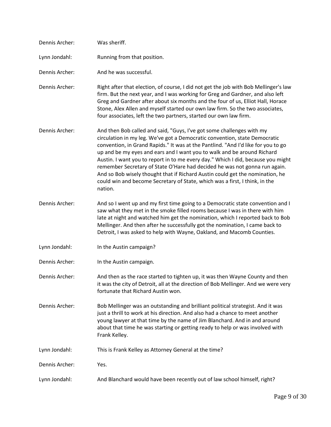| Dennis Archer: | Was sheriff.                                                                                                                                                                                                                                                                                                                                                                                                                                                                                                                                                                                                                                                     |
|----------------|------------------------------------------------------------------------------------------------------------------------------------------------------------------------------------------------------------------------------------------------------------------------------------------------------------------------------------------------------------------------------------------------------------------------------------------------------------------------------------------------------------------------------------------------------------------------------------------------------------------------------------------------------------------|
| Lynn Jondahl:  | Running from that position.                                                                                                                                                                                                                                                                                                                                                                                                                                                                                                                                                                                                                                      |
| Dennis Archer: | And he was successful.                                                                                                                                                                                                                                                                                                                                                                                                                                                                                                                                                                                                                                           |
| Dennis Archer: | Right after that election, of course, I did not get the job with Bob Mellinger's law<br>firm. But the next year, and I was working for Greg and Gardner, and also left<br>Greg and Gardner after about six months and the four of us, Elliot Hall, Horace<br>Stone, Alex Allen and myself started our own law firm. So the two associates,<br>four associates, left the two partners, started our own law firm.                                                                                                                                                                                                                                                  |
| Dennis Archer: | And then Bob called and said, "Guys, I've got some challenges with my<br>circulation in my leg. We've got a Democratic convention, state Democratic<br>convention, in Grand Rapids." It was at the Pantlind. "And I'd like for you to go<br>up and be my eyes and ears and I want you to walk and be around Richard<br>Austin. I want you to report in to me every day." Which I did, because you might<br>remember Secretary of State O'Hare had decided he was not gonna run again.<br>And so Bob wisely thought that if Richard Austin could get the nomination, he<br>could win and become Secretary of State, which was a first, I think, in the<br>nation. |
| Dennis Archer: | And so I went up and my first time going to a Democratic state convention and I<br>saw what they met in the smoke filled rooms because I was in there with him<br>late at night and watched him get the nomination, which I reported back to Bob<br>Mellinger. And then after he successfully got the nomination, I came back to<br>Detroit, I was asked to help with Wayne, Oakland, and Macomb Counties.                                                                                                                                                                                                                                                       |
| Lynn Jondahl:  | In the Austin campaign?                                                                                                                                                                                                                                                                                                                                                                                                                                                                                                                                                                                                                                          |
| Dennis Archer: | In the Austin campaign.                                                                                                                                                                                                                                                                                                                                                                                                                                                                                                                                                                                                                                          |
| Dennis Archer: | And then as the race started to tighten up, it was then Wayne County and then<br>it was the city of Detroit, all at the direction of Bob Mellinger. And we were very<br>fortunate that Richard Austin won.                                                                                                                                                                                                                                                                                                                                                                                                                                                       |
| Dennis Archer: | Bob Mellinger was an outstanding and brilliant political strategist. And it was<br>just a thrill to work at his direction. And also had a chance to meet another<br>young lawyer at that time by the name of Jim Blanchard. And in and around<br>about that time he was starting or getting ready to help or was involved with<br>Frank Kelley.                                                                                                                                                                                                                                                                                                                  |
| Lynn Jondahl:  | This is Frank Kelley as Attorney General at the time?                                                                                                                                                                                                                                                                                                                                                                                                                                                                                                                                                                                                            |
| Dennis Archer: | Yes.                                                                                                                                                                                                                                                                                                                                                                                                                                                                                                                                                                                                                                                             |
| Lynn Jondahl:  | And Blanchard would have been recently out of law school himself, right?                                                                                                                                                                                                                                                                                                                                                                                                                                                                                                                                                                                         |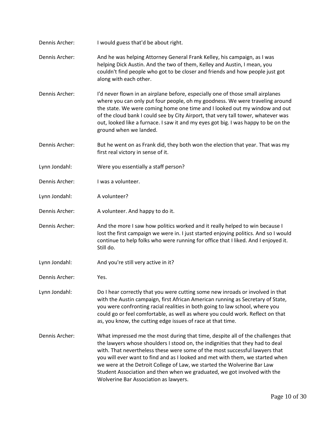Dennis [Archer:](https://www.rev.com/transcript-editor/Edit?token=r2PMFC3S7LjJNR5ZYUuXoMmDuVd9MKadLFfU42OgcjBRCuM0Dd79dtv-l0coWjPL3wo3QFp5YTUN7fxRnZumMtSPEW4&loadFrom=DocumentSpeakerNameDeeplink&ts=312.49) I would guess that'd be about right. Dennis [Archer:](https://www.rev.com/transcript-editor/Edit?token=8yW1nZeosz1VfS88rP_5LXwX1H5rGChyBlIKJL729xx-KPJE13NRJitdVqdlEGddhRiTO-LMQlTGyd7sN8IntQjOcXw&loadFrom=DocumentSpeakerNameDeeplink&ts=314.23) And he was helping Attorney General Frank Kelley, his campaign, as I was helping Dick Austin. And the two of them, Kelley and Austin, I mean, you couldn't find people who got to be closer and friends and how people just got along with each other. [Dennis Archer:](https://www.rev.com/transcript-editor/Edit?token=ndGz0awEmy5Op47K5ZTNKYJDVqMpaMZXCiglsVk0RoIYtbIYSYNetPEfX0qwHFG-wbEbHSfpVrUdFWYKIhA07SIsYcE&loadFrom=DocumentSpeakerNameDeeplink&ts=337.99) I'd never flown in an airplane before, especially one of those small airplanes where you can only put four people, oh my goodness. We were traveling around the state. We were coming home one time and I looked out my window and out of the cloud bank I could see by City Airport, that very tall tower, whatever was out, looked like a furnace. I saw it and my eyes got big. I was happy to be on the ground when we landed. [Dennis Archer:](https://www.rev.com/transcript-editor/Edit?token=619AdbhvMs2Qpgk0kuXDHKsIcHp2wBwajlKv7svjvkSGV6gvbHXl-i8oHFO2DEiZLJcWmdA-GdcyWo4km9X7oTWd9kk&loadFrom=DocumentSpeakerNameDeeplink&ts=368.08) But he went on as Frank did, they both won the election that year. That was my first real victory in sense of it. [Lynn Jondahl:](https://www.rev.com/transcript-editor/Edit?token=ja5_n1CsQZXDSVHTfEGBLuDnKGS91EIzVPo9-iA7bXsYSxZ9_8RlnBzmTFK2vIIktnlsBgxX_Tu1-rZftlylI_Ko2FA&loadFrom=DocumentSpeakerNameDeeplink&ts=379.47) Were you essentially a staff person? [Dennis Archer:](https://www.rev.com/transcript-editor/Edit?token=i8qJYVgsfSyio_BYo1JvyuELVQ_ZTsrbZeAnQvGLBRJoBwSuLjMHmbNae3vhoJ1asr0jr8of8gx_wQrdbwUXRw0L3Ug&loadFrom=DocumentSpeakerNameDeeplink&ts=381.5) I was a volunteer. [Lynn Jondahl:](https://www.rev.com/transcript-editor/Edit?token=ph1d0b-v9muqogV_hBPPoVXBgLfLmqW5UNk8-sgwJM1tnMgxqQjpgL5Y2qJUpM-ufM5KFXHigOnWjGn8un4i_KqZ8M0&loadFrom=DocumentSpeakerNameDeeplink&ts=383.93) A volunteer? [Dennis Archer:](https://www.rev.com/transcript-editor/Edit?token=nU-cAAiSDTt943rEyFdma6-ig8OfDk9nixonekQbNXW6_NjA_JY53chUxuyeKf4NKGskq2h-dpsQTqA3QlCYd2nacI4&loadFrom=DocumentSpeakerNameDeeplink&ts=384.71) A volunteer. And happy to do it. [Dennis Archer:](https://www.rev.com/transcript-editor/Edit?token=fUdBUsTS8mUWN0xA1oG_MWSXM4LJ27SNxVUO4AdNBkH9v2UdFk_ZojxD3qoCk23ZNG68wLIAavvamMiu93F3sMG1FVY&loadFrom=DocumentSpeakerNameDeeplink&ts=386.96) And the more I saw how politics worked and it really helped to win because I lost the first campaign we were in. I just started enjoying politics. And so I would continue to help folks who were running for office that I liked. And I enjoyed it. Still do. [Lynn Jondahl:](https://www.rev.com/transcript-editor/Edit?token=PEaNA-Nz4IEY7CcDiXXUCvJqpzoRmp-sEDWdt0I5h1C_EZKtpnPoia6piiio5P9Eqst9Jx2rXRhxx0P7bXR_b6Zhp6E&loadFrom=DocumentSpeakerNameDeeplink&ts=411.5) And you're still very active in it? [Dennis Archer:](https://www.rev.com/transcript-editor/Edit?token=a_Jy8LZulDjwct7XGwLqB041rJBw2Xqevdhyh5DcRiFawFMrC3q8C6Mu3CRNamfMiImGAgb72R4DAXeopuN1li1HAFc&loadFrom=DocumentSpeakerNameDeeplink&ts=413.53) Yes. [Lynn Jondahl:](https://www.rev.com/transcript-editor/Edit?token=Ptr3-RKPJJS8PbMEpde93vSNGXiLRLBzd-AmgTnkYWEWOBsmMkgXHKFblq13CMcXzgoy99BGgybqu6oyxmciCkcErJ0&loadFrom=DocumentSpeakerNameDeeplink&ts=416.15) Do I hear correctly that you were cutting some new inroads or involved in that with the Austin campaign, first African American running as Secretary of State, you were confronting racial realities in both going to law school, where you could go or feel comfortable, as well as where you could work. Reflect on that as, you know, the cutting edge issues of race at that time. [Dennis Archer:](https://www.rev.com/transcript-editor/Edit?token=kvUdmN9wb0HSSBTKjwxPZQ_9uM5Rs69JPOIspCWwIi60So1XsyjlmzHJ85zcbXf7PPqp5kN8fflYGL7-plNFdWfyGfk&loadFrom=DocumentSpeakerNameDeeplink&ts=454.83) What impressed me the most during that time, despite all of the challenges that the lawyers whose shoulders I stood on, the indignities that they had to deal with. That nevertheless these were some of the most successful lawyers that you will ever want to find and as I looked and met with them, we started when we were at the Detroit College of Law, we started the Wolverine Bar Law Student Association and then when we graduated, we got involved with the Wolverine Bar Association as lawyers.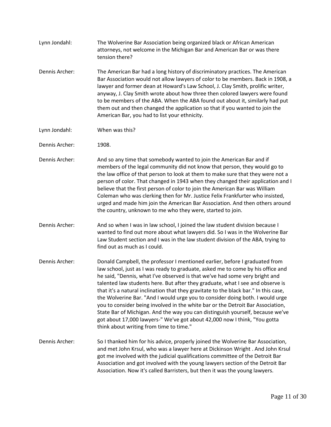- [Lynn Jondahl:](https://www.rev.com/transcript-editor/Edit?token=mwMjWgKIo6zheN11XHAXt8Fd2fgkArF-UouuFcl2YwCpLzvv-zk8B60zP58HvrF8CP_CeOjlQRh0zHmYOuKGJhQF7WE&loadFrom=DocumentSpeakerNameDeeplink&ts=506.66) The Wolverine Bar Association being organized black or African American attorneys, not welcome in the Michigan Bar and American Bar or was there tension there? [Dennis Archer:](https://www.rev.com/transcript-editor/Edit?token=kf0PoICxMrBqFCRxTrIMHRbDcixqkY1bNdW2akUPm9hm0QT2HSCDgTShS5t2cZByjrDbqMzLrpMRu4IGP0UH8COS2js&loadFrom=DocumentSpeakerNameDeeplink&ts=523.77) The American Bar had a long history of discriminatory practices. The American Bar Association would not allow lawyers of color to be members. Back in 1908, a lawyer and former dean at Howard's Law School, J. Clay Smith, prolific writer, anyway, J. Clay Smith wrote about how three then colored lawyers were found to be members of the ABA. When the ABA found out about it, similarly had put them out and then changed the application so that if you wanted to join the American Bar, you had to list your ethnicity.
- [Lynn Jondahl:](https://www.rev.com/transcript-editor/Edit?token=7jnGcephr-MN_-sx6BL0D3TNHUKbhR074lMtaddI9CjN1gG5yXwQJTFuGbKfa_G64tJMq4WE-NBCoMAx_-eIV7jLo_g&loadFrom=DocumentSpeakerNameDeeplink&ts=569.03) When was this?
- [Dennis Archer:](https://www.rev.com/transcript-editor/Edit?token=B_8-jPBFRdrvkDO9yRc64rkkgA5w-oAf0kElailB8DsKR5NyY25757KG-_ET_8u0WnSI72WIzG3xFt8hg6QVWxWIQBM&loadFrom=DocumentSpeakerNameDeeplink&ts=569.73) 1908.
- [Dennis Archer:](https://www.rev.com/transcript-editor/Edit?token=YjNOEJqrXqqthLTtsg7MSy2Wm2dKT_nr1vs2VPEkywc8RopgWUl4HD5GSpK6E3qYPNwqlmB5MRP48qH_2WIpW7UcuJU&loadFrom=DocumentSpeakerNameDeeplink&ts=571.47) And so any time that somebody wanted to join the American Bar and if members of the legal community did not know that person, they would go to the law office of that person to look at them to make sure that they were not a person of color. That changed in 1943 when they changed their application and I believe that the first person of color to join the American Bar was William Coleman who was clerking then for Mr. Justice Felix Frankfurter who insisted, urged and made him join the American Bar Association. And then others around the country, unknown to me who they were, started to join.
- [Dennis Archer:](https://www.rev.com/transcript-editor/Edit?token=QLIpHSVeiJhQm6Qtbkbc79ao8CBVK1TCK9sWyoCoBISBUMMNnojh28FDZ1DUn7iuvYLwBTuQBPSyDo0WvUa9qlA2nAU&loadFrom=DocumentSpeakerNameDeeplink&ts=630.32) And so when I was in law school, I joined the law student division because I wanted to find out more about what lawyers did. So I was in the Wolverine Bar Law Student section and I was in the law student division of the ABA, trying to find out as much as I could.
- [Dennis Archer:](https://www.rev.com/transcript-editor/Edit?token=jBBd0mpFcwLsWUiLUv4dsyfppcndVwJZqvW0FZvwq1zrs1SX5p1b7TsAh611ERFF1fCxqZMfXqaS6qJF8FkuZLA7Ek8&loadFrom=DocumentSpeakerNameDeeplink&ts=662.12) Donald Campbell, the professor I mentioned earlier, before I graduated from law school, just as I was ready to graduate, asked me to come by his office and he said, "Dennis, what I've observed is that we've had some very bright and talented law students here. But after they graduate, what I see and observe is that it's a natural inclination that they gravitate to the black bar." In this case, the Wolverine Bar. "And I would urge you to consider doing both. I would urge you to consider being involved in the white bar or the Detroit Bar Association, State Bar of Michigan. And the way you can distinguish yourself, because we've got about 17,000 lawyers-" We've got about 42,000 now I think, "You gotta think about writing from time to time."
- [Dennis Archer:](https://www.rev.com/transcript-editor/Edit?token=WVtoqxWoaDXIBMlpA4r5cWVdxVvbw-iBbYP7q-E88BBL5KR0xjPeqYj5ITBizsAX70ib6aXNEaGIgsNwo8PfvdT-M6E&loadFrom=DocumentSpeakerNameDeeplink&ts=727.69) So I thanked him for his advice, properly joined the Wolverine Bar Association, and met John Krsul, who was a lawyer here at Dickinson Wright . And John Krsul got me involved with the judicial qualifications committee of the Detroit Bar Association and got involved with the young lawyers section of the Detroit Bar Association. Now it's called Barristers, but then it was the young lawyers.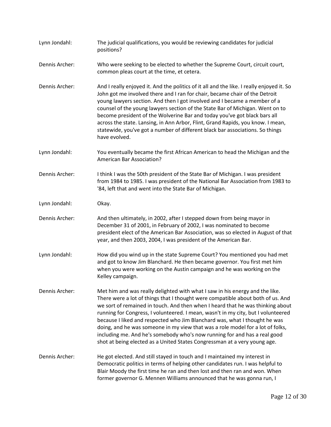[Lynn Jondahl:](https://www.rev.com/transcript-editor/Edit?token=sFYXHkIdg-wydoqPrUpoR2xtx9ecoVl_xrxZEY2w5B65ZPSR5zFIwhiX1AICb3evJW0SdoEMdqGzkoN1DzO_sSSB9Og&loadFrom=DocumentSpeakerNameDeeplink&ts=764.66) The judicial qualifications, you would be reviewing candidates for judicial positions? [Dennis Archer:](https://www.rev.com/transcript-editor/Edit?token=XSbh00yJ_yXKiBSjdbR8vpKZQrt4fW5o4aSqtBzWpUp_KtKhgtPyraByTT7mht4zqDtrgRT6lKQ53wbHXhS0NXpyU9w&loadFrom=DocumentSpeakerNameDeeplink&ts=771.14) Who were seeking to be elected to whether the Supreme Court, circuit court, common pleas court at the time, et cetera. [Dennis Archer:](https://www.rev.com/transcript-editor/Edit?token=RdPqi50dvVQsRtjANcXC1rlQojJNdys9ipRrotMyL_gwuXUbcrvkF4Sd166-1RsqqLlYd_rASHijxFvmp4Zy1L9xZLM&loadFrom=DocumentSpeakerNameDeeplink&ts=780.47) And I really enjoyed it. And the politics of it all and the like. I really enjoyed it. So John got me involved there and I ran for chair, became chair of the Detroit young lawyers section. And then I got involved and I became a member of a counsel of the young lawyers section of the State Bar of Michigan. Went on to become president of the Wolverine Bar and today you've got black bars all across the state. Lansing, in Ann Arbor, Flint, Grand Rapids, you know. I mean, statewide, you've got a number of different black bar associations. So things have evolved. [Lynn Jondahl:](https://www.rev.com/transcript-editor/Edit?token=ZYsuq6f8g6Cz7L7YTw6iH9I_zIW0Aa5CotPhqxv6i2rc6o2k83iy7qIKF0jCdIjqmlZygH0xptVBLN9SW1r4u5CF7E0&loadFrom=DocumentSpeakerNameDeeplink&ts=824.45) You eventually became the first African American to head the Michigan and the American Bar Association? [Dennis Archer:](https://www.rev.com/transcript-editor/Edit?token=p_77xf913ngP8U2ksBDoym0mYzXm84oFd6ShuXLCBkhC_wZp5HWQHYmsXwIoM7ZQ3nX2qyGlM5rcoehdNeiTeohVxJo&loadFrom=DocumentSpeakerNameDeeplink&ts=834.4) I think I was the 50th president of the State Bar of Michigan. I was president from 1984 to 1985. I was president of the National Bar Association from 1983 to '84, left that and went into the State Bar of Michigan. [Lynn Jondahl:](https://www.rev.com/transcript-editor/Edit?token=KBR3rlv1N-TBEZUlprUFe6lEJeqzuVR-qTEjlHn_w9xjDLSs6wi1v4-7nxc2tHwkGu6BmxPSMrw20NdCfGyMCFP3ST0&loadFrom=DocumentSpeakerNameDeeplink&ts=852.09) Okay. [Dennis Archer:](https://www.rev.com/transcript-editor/Edit?token=eJ1CygWGqZ82fis44MPq6zj6svuHpaO-fPUH5pbRtMARRsD9VnprXey-YKHPxGAoBrmkwgy7lx8txvVbl1eZjhloE6o&loadFrom=DocumentSpeakerNameDeeplink&ts=853.49) And then ultimately, in 2002, after I stepped down from being mayor in December 31 of 2001, in February of 2002, I was nominated to become president elect of the American Bar Association, was so elected in August of that year, and then 2003, 2004, I was president of the American Bar. [Lynn Jondahl:](https://www.rev.com/transcript-editor/Edit?token=Aid1RsXMkbFsLAbb0_gzgaO294Cf2J7Gtv1Xab1tz7RQfUWtpgcCwn0xSyc7w7oTOoc7sOJxvCXLF_qVKJ56c1wvUp8&loadFrom=DocumentSpeakerNameDeeplink&ts=883.58) How did you wind up in the state Supreme Court? You mentioned you had met and got to know Jim Blanchard. He then became governor. You first met him when you were working on the Austin campaign and he was working on the Kelley campaign. [Dennis Archer:](https://www.rev.com/transcript-editor/Edit?token=dnFUdqfY5F3k91OiwJnMH3Z7QZ14Y1LQBH1hzIBiu-VEtqWS7LNV-DLdaVeow2CWV9VJm-B7h08xCQd721BQk5AqCDg&loadFrom=DocumentSpeakerNameDeeplink&ts=903.55) Met him and was really delighted with what I saw in his energy and the like. There were a lot of things that I thought were compatible about both of us. And we sort of remained in touch. And then when I heard that he was thinking about running for Congress, I volunteered. I mean, wasn't in my city, but I volunteered because I liked and respected who Jim Blanchard was, what I thought he was doing, and he was someone in my view that was a role model for a lot of folks, including me. And he's somebody who's now running for and has a real good shot at being elected as a United States Congressman at a very young age. [Dennis Archer:](https://www.rev.com/transcript-editor/Edit?token=7DgOkMNXWqdlshk4xNpiPKornhoUjopztI4QRft4sHoWXIoElNSoUPCWnpR2HL8VAb2hNLQNRiJwknMp-uUX1v54QUM&loadFrom=DocumentSpeakerNameDeeplink&ts=956.87) He got elected. And still stayed in touch and I maintained my interest in Democratic politics in terms of helping other candidates run. I was helpful to Blair Moody the first time he ran and then lost and then ran and won. When former governor G. Mennen Williams announced that he was gonna run, I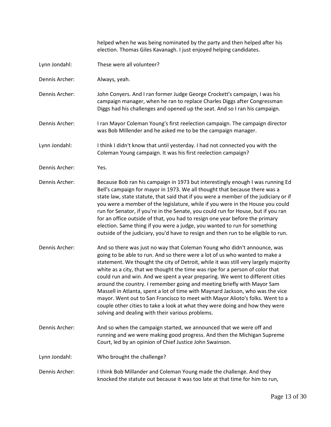helped when he was being nominated by the party and then helped after his election. Thomas Giles Kavanagh. I just enjoyed helping candidates.

- [Lynn Jondahl:](https://www.rev.com/transcript-editor/Edit?token=VOaNMgveMYRwlOVdZZdkIKuWkr82BsqB4ZpDwD7oNTByyvFFGNys8VB-TMW0u0IGls4sYiurVw7lQfCzjhDdbgp9t7k&loadFrom=DocumentSpeakerNameDeeplink&ts=999) These were all volunteer?
- [Dennis Archer:](https://www.rev.com/transcript-editor/Edit?token=5zTGtmOAx_BOHnBvaLy71aK-cnigR__l68YGgpfViD3lpqUv6tEKXDLK18kTCbz8WfpTWJ0kDRFCkUJ83atst0M89aI&loadFrom=DocumentSpeakerNameDeeplink&ts=1000.17) Always, yeah.
- [Dennis Archer:](https://www.rev.com/transcript-editor/Edit?token=f4O6x9pqMiWBwRj6nLpxaw90AGFaewKU5clxI_6QVq4Li-OwqgSSfAk1FF7QXtnQKSGu-OoMHQT1Ye4x6qhWy77-3AM&loadFrom=DocumentSpeakerNameDeeplink&ts=1001.38) John Conyers. And I ran former Judge George Crockett's campaign, I was his campaign manager, when he ran to replace Charles Diggs after Congressman Diggs had his challenges and opened up the seat. And so I ran his campaign.
- [Dennis Archer:](https://www.rev.com/transcript-editor/Edit?token=vlSnPmSDYIX3snL_q4nxk-tvgJig4w9L3rzNTxZmateM-zCUz9YyO27M6CmSsaPHbOmDKAOn885DbRg7pinL25U154M&loadFrom=DocumentSpeakerNameDeeplink&ts=1027.86) I ran Mayor Coleman Young's first reelection campaign. The campaign director was Bob Millender and he asked me to be the campaign manager.
- [Lynn Jondahl:](https://www.rev.com/transcript-editor/Edit?token=1oNf9KNK0EBu1Aik5mlLO-VXe0tc0ZfBtFGx8LOxk388gjetv9xwesqWmJ59_vciwyI-v35BsND73LzoSPq5p4x8ybo&loadFrom=DocumentSpeakerNameDeeplink&ts=1040.05) I think I didn't know that until yesterday. I had not connected you with the Coleman Young campaign. It was his first reelection campaign?
- [Dennis Archer:](https://www.rev.com/transcript-editor/Edit?token=j4_OP3iDM4BRuHBQG8FxpLp42Jn4pz68RgyADDisVGDk6NDjeroXjo2NxqYrAyzy6I7MRmshaVTtM3Aoq2_uKnWRB0k&loadFrom=DocumentSpeakerNameDeeplink&ts=1052.81) Yes.
- [Dennis Archer:](https://www.rev.com/transcript-editor/Edit?token=TlX2baybqNixBqwfbghWeAJRW5_Y0jsbzd_oXH8qif-6Zo5spXZN5n2X_eiCBYTeUQjMIDIRj-s-bt7msSa-NTMbzA0&loadFrom=DocumentSpeakerNameDeeplink&ts=1053.43) Because Bob ran his campaign in 1973 but interestingly enough I was running Ed Bell's campaign for mayor in 1973. We all thought that because there was a state law, state statute, that said that if you were a member of the judiciary or if you were a member of the legislature, while if you were in the House you could run for Senator, if you're in the Senate, you could run for House, but if you ran for an office outside of that, you had to resign one year before the primary election. Same thing if you were a judge, you wanted to run for something outside of the judiciary, you'd have to resign and then run to be eligible to run.
- [Dennis Archer:](https://www.rev.com/transcript-editor/Edit?token=yTkeYybH2S4hJLmXRiav8o28nY6hVTLm7LB9TT4YbJqRHpcSWgcjpWnh-Lgob4YwDDsRzmXFl0QC5FEjswXODBRy2fc&loadFrom=DocumentSpeakerNameDeeplink&ts=1101.77) And so there was just no way that Coleman Young who didn't announce, was going to be able to run. And so there were a lot of us who wanted to make a statement. We thought the city of Detroit, while it was still very largely majority white as a city, that we thought the time was ripe for a person of color that could run and win. And we spent a year preparing. We went to different cities around the country. I remember going and meeting briefly with Mayor Sam Massell in Atlanta, spent a lot of time with Maynard Jackson, who was the vice mayor. Went out to San Francisco to meet with Mayor Alioto's folks. Went to a couple other cities to take a look at what they were doing and how they were solving and dealing with their various problems.
- [Dennis Archer:](https://www.rev.com/transcript-editor/Edit?token=nPPWrc5L6O4jrOXtNLRKgLX7fanid6pG9bQMsiBRwzzNClJmiPmjbymwFxJAaPvwAv_jY9EoQ4r0jJuyzXfQkH0uQt0&loadFrom=DocumentSpeakerNameDeeplink&ts=1159.83) And so when the campaign started, we announced that we were off and running and we were making good progress. And then the Michigan Supreme Court, led by an opinion of Chief Justice John Swainson.
- [Lynn Jondahl:](https://www.rev.com/transcript-editor/Edit?token=0EhIMKO_Qiv6P3dZhUFzWDkkW8jTxpTq9E5fZsJvZ465GbxbAtJGIHgEvVBRAvNIXseF5Z--hPuWvJiEUsQ89Y-45mE&loadFrom=DocumentSpeakerNameDeeplink&ts=1181.51) Who brought the challenge?
- [Dennis Archer:](https://www.rev.com/transcript-editor/Edit?token=wxmvkW6gIy3e8rhkZoRfKn3GF5Rg6FGSKwD10Ira0WJE5LJrMOT8geaGGCQcXjuTM6L9F26nT5wsDnikarTsN2MGPiM&loadFrom=DocumentSpeakerNameDeeplink&ts=1184.79) I think Bob Millander and Coleman Young made the challenge. And they knocked the statute out because it was too late at that time for him to run,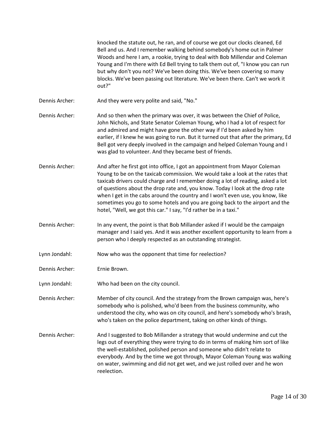|                | knocked the statute out, he ran, and of course we got our clocks cleaned, Ed<br>Bell and us. And I remember walking behind somebody's home out in Palmer<br>Woods and here I am, a rookie, trying to deal with Bob Millendar and Coleman<br>Young and I'm there with Ed Bell trying to talk them out of, "I know you can run<br>but why don't you not? We've been doing this. We've been covering so many<br>blocks. We've been passing out literature. We've been there. Can't we work it<br>out?"                                                                      |
|----------------|--------------------------------------------------------------------------------------------------------------------------------------------------------------------------------------------------------------------------------------------------------------------------------------------------------------------------------------------------------------------------------------------------------------------------------------------------------------------------------------------------------------------------------------------------------------------------|
| Dennis Archer: | And they were very polite and said, "No."                                                                                                                                                                                                                                                                                                                                                                                                                                                                                                                                |
| Dennis Archer: | And so then when the primary was over, it was between the Chief of Police,<br>John Nichols, and State Senator Coleman Young, who I had a lot of respect for<br>and admired and might have gone the other way if I'd been asked by him<br>earlier, if I knew he was going to run. But it turned out that after the primary, Ed<br>Bell got very deeply involved in the campaign and helped Coleman Young and I<br>was glad to volunteer. And they became best of friends.                                                                                                 |
| Dennis Archer: | And after he first got into office, I got an appointment from Mayor Coleman<br>Young to be on the taxicab commission. We would take a look at the rates that<br>taxicab drivers could charge and I remember doing a lot of reading, asked a lot<br>of questions about the drop rate and, you know. Today I look at the drop rate<br>when I get in the cabs around the country and I won't even use, you know, like<br>sometimes you go to some hotels and you are going back to the airport and the<br>hotel, "Well, we got this car." I say, "I'd rather be in a taxi." |
| Dennis Archer: | In any event, the point is that Bob Millander asked if I would be the campaign<br>manager and I said yes. And it was another excellent opportunity to learn from a<br>person who I deeply respected as an outstanding strategist.                                                                                                                                                                                                                                                                                                                                        |
| Lynn Jondahl:  | Now who was the opponent that time for reelection?                                                                                                                                                                                                                                                                                                                                                                                                                                                                                                                       |
| Dennis Archer: | Ernie Brown.                                                                                                                                                                                                                                                                                                                                                                                                                                                                                                                                                             |
| Lynn Jondahl:  | Who had been on the city council.                                                                                                                                                                                                                                                                                                                                                                                                                                                                                                                                        |
| Dennis Archer: | Member of city council. And the strategy from the Brown campaign was, here's<br>somebody who is polished, who'd been from the business community, who<br>understood the city, who was on city council, and here's somebody who's brash,<br>who's taken on the police department, taking on other kinds of things.                                                                                                                                                                                                                                                        |
| Dennis Archer: | And I suggested to Bob Millander a strategy that would undermine and cut the<br>legs out of everything they were trying to do in terms of making him sort of like<br>the well-established, polished person and someone who didn't relate to<br>everybody. And by the time we got through, Mayor Coleman Young was walking<br>on water, swimming and did not get wet, and we just rolled over and he won<br>reelection.                                                                                                                                                   |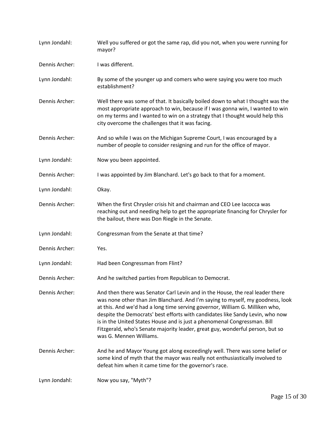| Lynn Jondahl:  | Well you suffered or got the same rap, did you not, when you were running for<br>mayor?                                                                                                                                                                                                                                                                                                                                                                                                                                  |
|----------------|--------------------------------------------------------------------------------------------------------------------------------------------------------------------------------------------------------------------------------------------------------------------------------------------------------------------------------------------------------------------------------------------------------------------------------------------------------------------------------------------------------------------------|
| Dennis Archer: | I was different.                                                                                                                                                                                                                                                                                                                                                                                                                                                                                                         |
| Lynn Jondahl:  | By some of the younger up and comers who were saying you were too much<br>establishment?                                                                                                                                                                                                                                                                                                                                                                                                                                 |
| Dennis Archer: | Well there was some of that. It basically boiled down to what I thought was the<br>most appropriate approach to win, because if I was gonna win, I wanted to win<br>on my terms and I wanted to win on a strategy that I thought would help this<br>city overcome the challenges that it was facing.                                                                                                                                                                                                                     |
| Dennis Archer: | And so while I was on the Michigan Supreme Court, I was encouraged by a<br>number of people to consider resigning and run for the office of mayor.                                                                                                                                                                                                                                                                                                                                                                       |
| Lynn Jondahl:  | Now you been appointed.                                                                                                                                                                                                                                                                                                                                                                                                                                                                                                  |
| Dennis Archer: | I was appointed by Jim Blanchard. Let's go back to that for a moment.                                                                                                                                                                                                                                                                                                                                                                                                                                                    |
| Lynn Jondahl:  | Okay.                                                                                                                                                                                                                                                                                                                                                                                                                                                                                                                    |
| Dennis Archer: | When the first Chrysler crisis hit and chairman and CEO Lee Iacocca was<br>reaching out and needing help to get the appropriate financing for Chrysler for<br>the bailout, there was Don Riegle in the Senate.                                                                                                                                                                                                                                                                                                           |
| Lynn Jondahl:  | Congressman from the Senate at that time?                                                                                                                                                                                                                                                                                                                                                                                                                                                                                |
| Dennis Archer: | Yes.                                                                                                                                                                                                                                                                                                                                                                                                                                                                                                                     |
| Lynn Jondahl:  | Had been Congressman from Flint?                                                                                                                                                                                                                                                                                                                                                                                                                                                                                         |
| Dennis Archer: | And he switched parties from Republican to Democrat.                                                                                                                                                                                                                                                                                                                                                                                                                                                                     |
| Dennis Archer: | And then there was Senator Carl Levin and in the House, the real leader there<br>was none other than Jim Blanchard. And I'm saying to myself, my goodness, look<br>at this. And we'd had a long time serving governor, William G. Milliken who,<br>despite the Democrats' best efforts with candidates like Sandy Levin, who now<br>is in the United States House and is just a phenomenal Congressman. Bill<br>Fitzgerald, who's Senate majority leader, great guy, wonderful person, but so<br>was G. Mennen Williams. |
| Dennis Archer: | And he and Mayor Young got along exceedingly well. There was some belief or<br>some kind of myth that the mayor was really not enthusiastically involved to<br>defeat him when it came time for the governor's race.                                                                                                                                                                                                                                                                                                     |
| Lynn Jondahl:  | Now you say, "Myth"?                                                                                                                                                                                                                                                                                                                                                                                                                                                                                                     |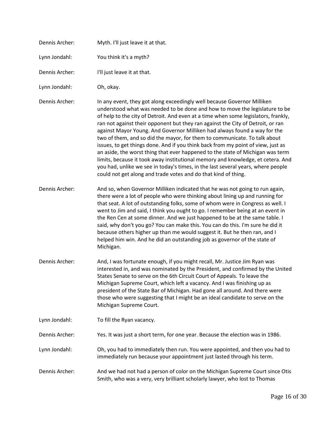| Dennis Archer: | Myth. I'll just leave it at that.                                                                                                                                                                                                                                                                                                                                                                                                                                                                                                                                                                                                                                                                                                                                                                                                                                                                        |
|----------------|----------------------------------------------------------------------------------------------------------------------------------------------------------------------------------------------------------------------------------------------------------------------------------------------------------------------------------------------------------------------------------------------------------------------------------------------------------------------------------------------------------------------------------------------------------------------------------------------------------------------------------------------------------------------------------------------------------------------------------------------------------------------------------------------------------------------------------------------------------------------------------------------------------|
| Lynn Jondahl:  | You think it's a myth?                                                                                                                                                                                                                                                                                                                                                                                                                                                                                                                                                                                                                                                                                                                                                                                                                                                                                   |
| Dennis Archer: | I'll just leave it at that.                                                                                                                                                                                                                                                                                                                                                                                                                                                                                                                                                                                                                                                                                                                                                                                                                                                                              |
| Lynn Jondahl:  | Oh, okay.                                                                                                                                                                                                                                                                                                                                                                                                                                                                                                                                                                                                                                                                                                                                                                                                                                                                                                |
| Dennis Archer: | In any event, they got along exceedingly well because Governor Milliken<br>understood what was needed to be done and how to move the legislature to be<br>of help to the city of Detroit. And even at a time when some legislators, frankly,<br>ran not against their opponent but they ran against the City of Detroit, or ran<br>against Mayor Young. And Governor Milliken had always found a way for the<br>two of them, and so did the mayor, for them to communicate. To talk about<br>issues, to get things done. And if you think back from my point of view, just as<br>an aside, the worst thing that ever happened to the state of Michigan was term<br>limits, because it took away institutional memory and knowledge, et cetera. And<br>you had, unlike we see in today's times, in the last several years, where people<br>could not get along and trade votes and do that kind of thing. |
| Dennis Archer: | And so, when Governor Milliken indicated that he was not going to run again,<br>there were a lot of people who were thinking about lining up and running for<br>that seat. A lot of outstanding folks, some of whom were in Congress as well. I<br>went to Jim and said, I think you ought to go. I remember being at an event in<br>the Ren Cen at some dinner. And we just happened to be at the same table. I<br>said, why don't you go? You can make this. You can do this. I'm sure he did it<br>because others higher up than me would suggest it. But he then ran, and I<br>helped him win. And he did an outstanding job as governor of the state of<br>Michigan.                                                                                                                                                                                                                                |
| Dennis Archer: | And, I was fortunate enough, if you might recall, Mr. Justice Jim Ryan was<br>interested in, and was nominated by the President, and confirmed by the United<br>States Senate to serve on the 6th Circuit Court of Appeals. To leave the<br>Michigan Supreme Court, which left a vacancy. And I was finishing up as<br>president of the State Bar of Michigan. Had gone all around. And there were<br>those who were suggesting that I might be an ideal candidate to serve on the<br>Michigan Supreme Court.                                                                                                                                                                                                                                                                                                                                                                                            |
| Lynn Jondahl:  | To fill the Ryan vacancy.                                                                                                                                                                                                                                                                                                                                                                                                                                                                                                                                                                                                                                                                                                                                                                                                                                                                                |
| Dennis Archer: | Yes. It was just a short term, for one year. Because the election was in 1986.                                                                                                                                                                                                                                                                                                                                                                                                                                                                                                                                                                                                                                                                                                                                                                                                                           |
| Lynn Jondahl:  | Oh, you had to immediately then run. You were appointed, and then you had to<br>immediately run because your appointment just lasted through his term.                                                                                                                                                                                                                                                                                                                                                                                                                                                                                                                                                                                                                                                                                                                                                   |
| Dennis Archer: | And we had not had a person of color on the Michigan Supreme Court since Otis<br>Smith, who was a very, very brilliant scholarly lawyer, who lost to Thomas                                                                                                                                                                                                                                                                                                                                                                                                                                                                                                                                                                                                                                                                                                                                              |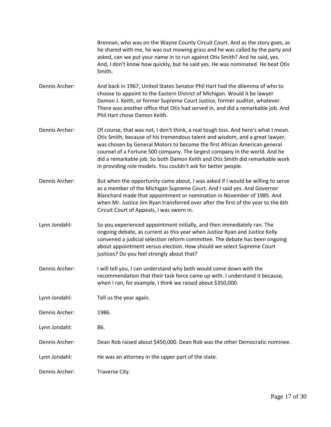Brennan, who was on the Wayne County Circuit Court. And as the story goes, as he shared with me, he was out mowing grass and he was called by the party and asked, can we put your name in to run against Otis Smith? And he said, yes. And, I don't know how quickly, but he said yes. He was nominated. He beat Otis Smith.

- [Dennis Archer:](https://www.rev.com/transcript-editor/Edit?token=-0cJLOTIqRISxL26Wz8OjkRuw8SLhSSK6xMG271HPfO6qhjKzSeMHWs1WrVODbv00B67zYJgW2VHnfEizxguPYlFTjA&loadFrom=DocumentSpeakerNameDeeplink&ts=185.6) And back in 1967, United States Senator Phil Hart had the dilemma of who to choose to appoint to the Eastern District of Michigan. Would it be lawyer Damon J. Keith, or former Supreme Court Justice, former auditor, whatever. There was another office that Otis had served in, and did a remarkable job. And Phil Hart chose Damon Keith.
- [Dennis Archer:](https://www.rev.com/transcript-editor/Edit?token=ldlhPOGpu0P02UEYLxfbeYxTH9v50or_uBNucM927uxtF9qXFyqfdB0UV7ZXIXBmBwG_uvDpZP3INu1NANyaHia-KMk&loadFrom=DocumentSpeakerNameDeeplink&ts=217.26) Of course, that was not, I don't think, a real tough loss. And here's what I mean. Otis Smith, because of his tremendous talent and wisdom, and a great lawyer, was chosen by General Motors to become the first African American general counsel of a Fortune 500 company. The largest company in the world. And he did a remarkable job. So both Damon Keith and Otis Smith did remarkable work in providing role models. You couldn't ask for better people.
- [Dennis Archer:](https://www.rev.com/transcript-editor/Edit?token=xUenX48RmXyjDbYo9NyPPt5QLvABHc-Pwq85_L-Ma8gs3Ef4Ed6irimP70u9HbNLR1MIsvRpuVLDnOmjLZwie-Sm9_w&loadFrom=DocumentSpeakerNameDeeplink&ts=262.07) But when the opportunity came about, I was asked if I would be willing to serve as a member of the Michigan Supreme Court. And I said yes. And Governor Blanchard made that appointment or nomination in November of 1985. And when Mr. Justice Jim Ryan transferred over after the first of the year to the 6th Circuit Court of Appeals, I was sworn in.
- Lynn [Jondahl:](https://www.rev.com/transcript-editor/Edit?token=FP9biou2TZ7LdZViF2j27CP098EhwbXQ5jYENVCvjCG_vQr1mOCBTBGtuJZTXtFffp7sxiX7zcXvDSCW-yWUgRB6no4&loadFrom=DocumentSpeakerNameDeeplink&ts=303.23) So you experienced appointment initially, and then immediately ran. The ongoing debate, as current as this year when Justice Ryan and Justice Kelly convened a judicial selection reform committee. The debate has been ongoing about appointment versus election. How should we select Supreme Court justices? Do you feel strongly about that?
- [Dennis Archer:](https://www.rev.com/transcript-editor/Edit?token=6D6lw8erLHHjXM8lQgOcI0BiwkeLefxR-Oy0byYwGayIJTWvQE5ADrJpNAyCr1Ez7UZ_RkLEAXfM8tFYaLmbyp-yIsA&loadFrom=DocumentSpeakerNameDeeplink&ts=335.43) I will tell you, I can understand why both would come down with the recommendation that their task force came up with. I understand it because, when I ran, for example, I think we raised about \$350,000.
- Lynn [Jondahl:](https://www.rev.com/transcript-editor/Edit?token=ph45mXaohI0LDFd6gU0h7h9Sdoype-rqaqX23fYOKCeM799EZQ-VwDfCFa2gQtPPJxt7RFEIcrMQKfVUNejVv7evXag&loadFrom=DocumentSpeakerNameDeeplink&ts=361.86) Tell us the year again.
- [Dennis Archer:](https://www.rev.com/transcript-editor/Edit?token=yWOS00XP4xhG_LopC0Dvko_hR43HF-uVncHIfBURLd19zpwd4rlmmNUmUulptLhe0SgBLOOc-rmehOIRqHIzlF2sYeQ&loadFrom=DocumentSpeakerNameDeeplink&ts=362.77) 1986.
- Lynn [Jondahl:](https://www.rev.com/transcript-editor/Edit?token=RTx-uo6lHVkYBM4kLsIzc82B-JB972jmXNTozFRlX3mHlDR-zd7ubTAkjk6Z4bQGMjpW_OO38yeZIsvX6DumpZu6d0c&loadFrom=DocumentSpeakerNameDeeplink&ts=363.21) 86.
- [Dennis Archer:](https://www.rev.com/transcript-editor/Edit?token=JGi-AuFag7LpWgx-2wJVoiYQPAuwQBaZnbNuzCkbnGJb5BX6X0BFRLiXi5258wGVd6ZoHdR0ecbzgdjiTCkp1--iY-Y&loadFrom=DocumentSpeakerNameDeeplink&ts=364.86) Dean Rob raised about \$450,000. Dean Rob was the other Democratic nominee.
- Lynn [Jondahl:](https://www.rev.com/transcript-editor/Edit?token=jZljVxFxVsaosfNCAJbGv2_VFWdemhIen-hFu0vHyx0woWxLVvgEADrLADDSOWUAmr76iRAvv31tX2Hd6CBtoaSuqAw&loadFrom=DocumentSpeakerNameDeeplink&ts=371.88) He was an attorney in the upper part of the state.
- [Dennis Archer:](https://www.rev.com/transcript-editor/Edit?token=BS3uBaV6vB-U3RkjX3tZIcrjJvxerqueIdyJAtCZg5qoDH-yjqkLog2sQYOzgi1LrTa7N3hyV_1_jVMNthJPyr9mQOA&loadFrom=DocumentSpeakerNameDeeplink&ts=374.74) Traverse City.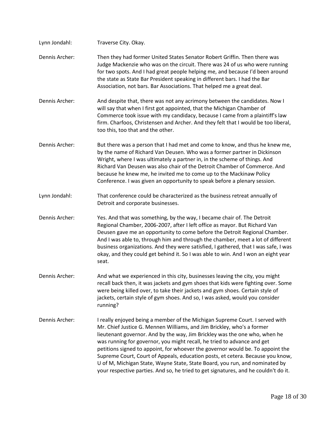| Lynn Jondahl:  | Traverse City. Okay.                                                                                                                                                                                                                                                                                                                                                                                                                                                                                                                                                                                                                                      |
|----------------|-----------------------------------------------------------------------------------------------------------------------------------------------------------------------------------------------------------------------------------------------------------------------------------------------------------------------------------------------------------------------------------------------------------------------------------------------------------------------------------------------------------------------------------------------------------------------------------------------------------------------------------------------------------|
| Dennis Archer: | Then they had former United States Senator Robert Griffin. Then there was<br>Judge Mackenzie who was on the circuit. There was 24 of us who were running<br>for two spots. And I had great people helping me, and because I'd been around<br>the state as State Bar President speaking in different bars. I had the Bar<br>Association, not bars. Bar Associations. That helped me a great deal.                                                                                                                                                                                                                                                          |
| Dennis Archer: | And despite that, there was not any acrimony between the candidates. Now I<br>will say that when I first got appointed, that the Michigan Chamber of<br>Commerce took issue with my candidacy, because I came from a plaintiff's law<br>firm. Charfoos, Christensen and Archer. And they felt that I would be too liberal,<br>too this, too that and the other.                                                                                                                                                                                                                                                                                           |
| Dennis Archer: | But there was a person that I had met and come to know, and thus he knew me,<br>by the name of Richard Van Deusen. Who was a former partner in Dickinson<br>Wright, where I was ultimately a partner in, in the scheme of things. And<br>Richard Van Deusen was also chair of the Detroit Chamber of Commerce. And<br>because he knew me, he invited me to come up to the Mackinaw Policy<br>Conference. I was given an opportunity to speak before a plenary session.                                                                                                                                                                                    |
| Lynn Jondahl:  | That conference could be characterized as the business retreat annually of<br>Detroit and corporate businesses.                                                                                                                                                                                                                                                                                                                                                                                                                                                                                                                                           |
| Dennis Archer: | Yes. And that was something, by the way, I became chair of. The Detroit<br>Regional Chamber, 2006-2007, after I left office as mayor. But Richard Van<br>Deusen gave me an opportunity to come before the Detroit Regional Chamber.<br>And I was able to, through him and through the chamber, meet a lot of different<br>business organizations. And they were satisfied, I gathered, that I was safe, I was<br>okay, and they could get behind it. So I was able to win. And I won an eight year<br>seat.                                                                                                                                               |
| Dennis Archer: | And what we experienced in this city, businesses leaving the city, you might<br>recall back then, it was jackets and gym shoes that kids were fighting over. Some<br>were being killed over, to take their jackets and gym shoes. Certain style of<br>jackets, certain style of gym shoes. And so, I was asked, would you consider<br>running?                                                                                                                                                                                                                                                                                                            |
| Dennis Archer: | I really enjoyed being a member of the Michigan Supreme Court. I served with<br>Mr. Chief Justice G. Mennen Williams, and Jim Brickley, who's a former<br>lieutenant governor. And by the way, Jim Brickley was the one who, when he<br>was running for governor, you might recall, he tried to advance and get<br>petitions signed to appoint, for whoever the governor would be. To appoint the<br>Supreme Court, Court of Appeals, education posts, et cetera. Because you know,<br>U of M, Michigan State, Wayne State, State Board, you run, and nominated by<br>your respective parties. And so, he tried to get signatures, and he couldn't do it. |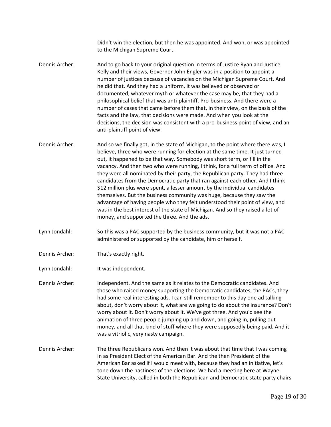Didn't win the election, but then he was appointed. And won, or was appointed to the Michigan Supreme Court.

- [Dennis Archer:](https://www.rev.com/transcript-editor/Edit?token=KO9IFhR012WnMx8KZdEMdpX_e-dPy3jSQAxsUeLODxudf5N-Lez8IPjE8RTFKxUzgrB93e7UUZfCh8WSpzmN_l6ubsY&loadFrom=DocumentSpeakerNameDeeplink&ts=640.15) And to go back to your original question in terms of Justice Ryan and Justice Kelly and their views, Governor John Engler was in a position to appoint a number of justices because of vacancies on the Michigan Supreme Court. And he did that. And they had a uniform, it was believed or observed or documented, whatever myth or whatever the case may be, that they had a philosophical belief that was anti-plaintiff. Pro-business. And there were a number of cases that came before them that, in their view, on the basis of the facts and the law, that decisions were made. And when you look at the decisions, the decision was consistent with a pro-business point of view, and an anti-plaintiff point of view.
- [Dennis Archer:](https://www.rev.com/transcript-editor/Edit?token=vh-ByUoZlp5zI-WodJ_oEn_tzWO45CFwHxBQ9b-A-Usc_Sxm-ZtjU3XV9kzuPTqFNA7tUclkQkG0oFouirJuHO5UFcY&loadFrom=DocumentSpeakerNameDeeplink&ts=720.51) And so we finally got, in the state of Michigan, to the point where there was, I believe, three who were running for election at the same time. It just turned out, it happened to be that way. Somebody was short term, or fill in the vacancy. And then two who were running, I think, for a full term of office. And they were all nominated by their party, the Republican party. They had three candidates from the Democratic party that ran against each other. And I think \$12 million plus were spent, a lesser amount by the individual candidates themselves. But the business community was huge, because they saw the advantage of having people who they felt understood their point of view, and was in the best interest of the state of Michigan. And so they raised a lot of money, and supported the three. And the ads.
- Lynn [Jondahl:](https://www.rev.com/transcript-editor/Edit?token=qTkZamo4WaItLlVbr5FFjINTrZn_q_XdDlfEbClEl_Dl19OUrMQavlWuE3HKcoElAOwovmB_0m-ipLCfcwfcOMn6Pw8&loadFrom=DocumentSpeakerNameDeeplink&ts=793.14) So this was a PAC supported by the business community, but it was not a PAC administered or supported by the candidate, him or herself.
- [Dennis Archer:](https://www.rev.com/transcript-editor/Edit?token=Eqg-3mQg0OZ5-oTeQuCn7UWjEHqq1tadVRpSzE4TsEnPNHun_eU6Cty1HuXXIskHpapwF4ONYh6bpBFFpaXHKHurgQg&loadFrom=DocumentSpeakerNameDeeplink&ts=805.95) That's exactly right.
- Lynn [Jondahl:](https://www.rev.com/transcript-editor/Edit?token=OBB4DcrRYq6Ud4Jnbt2HOud8R7TR6tOonJUt6-0bd7XeDWlfDrhzbfBwj5bc7OVymmEw0gafS3k_Gwo7l6F50xltXHc&loadFrom=DocumentSpeakerNameDeeplink&ts=806.54) It was independent.

[Dennis Archer:](https://www.rev.com/transcript-editor/Edit?token=nLPnM_rMP4o_GqHBgU0C6EBJVaU98D_D9tmuYBHcLLccONIBJTNv1eLhAxvSUewkPkwwdtWiUYvi4lDdrcRqO1evdI0&loadFrom=DocumentSpeakerNameDeeplink&ts=809.15) Independent. And the same as it relates to the Democratic candidates. And those who raised money supporting the Democratic candidates, the PACs, they had some real interesting ads. I can still remember to this day one ad talking about, don't worry about it, what are we going to do about the insurance? Don't worry about it. Don't worry about it. We've got three. And you'd see the animation of three people jumping up and down, and going in, pulling out money, and all that kind of stuff where they were supposedly being paid. And it was a vitriolic, very nasty campaign.

[Dennis Archer:](https://www.rev.com/transcript-editor/Edit?token=VhrkAOUC09yWAKbQswZ2AAVCjwLOcPSBD9QlrD0EoID_XV0BDjWli8_HbNocz3YIynSO_tEY8t4p_uSAhgzqxkxJED4&loadFrom=DocumentSpeakerNameDeeplink&ts=845.38) The three Republicans won. And then it was about that time that I was coming in as President Elect of the American Bar. And the then President of the American Bar asked if I would meet with, because they had an initiative, let's tone down the nastiness of the elections. We had a meeting here at Wayne State University, called in both the Republican and Democratic state party chairs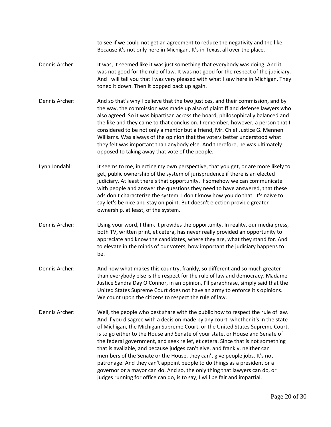to see if we could not get an agreement to reduce the negativity and the like. Because it's not only here in Michigan. It's in Texas, all over the place.

- [Dennis Archer:](https://www.rev.com/transcript-editor/Edit?token=RopHV4gCnn7X3ICBdoP1OBExGXbKqriEwSjr_EqrtmkhXWq4ba9ayAtCm4b4uc6TVRUjQNtpp7Szjp6tnCLSGgSHpiU&loadFrom=DocumentSpeakerNameDeeplink&ts=892.89) It was, it seemed like it was just something that everybody was doing. And it was not good for the rule of law. It was not good for the respect of the judiciary. And I will tell you that I was very pleased with what I saw here in Michigan. They toned it down. Then it popped back up again.
- [Dennis Archer:](https://www.rev.com/transcript-editor/Edit?token=ja-JPt6uPisurgd0-Mj2l6QLW7NSdxAOpBLqacHd09UN2pr-MmmK41FqbzqYUz_LQboD2z7iHstbVJxQYEmWlTFbK8E&loadFrom=DocumentSpeakerNameDeeplink&ts=916.17) And so that's why I believe that the two justices, and their commission, and by the way, the commission was made up also of plaintiff and defense lawyers who also agreed. So it was bipartisan across the board, philosophically balanced and the like and they came to that conclusion. I remember, however, a person that I considered to be not only a mentor but a friend, Mr. Chief Justice G. Mennen Williams. Was always of the opinion that the voters better understood what they felt was important than anybody else. And therefore, he was ultimately opposed to taking away that vote of the people.
- Lynn [Jondahl:](https://www.rev.com/transcript-editor/Edit?token=mXHHnlwyQi5ZjDL5fgv4OpePqnTPCd99iXsWoXJonBH6fBGdWBIBkjedYswNl09k-9qFxJJTAPdnPY7n7jii1mJqbVs&loadFrom=DocumentSpeakerNameDeeplink&ts=965.44) It seems to me, injecting my own perspective, that you get, or are more likely to get, public ownership of the system of jurisprudence if there is an elected judiciary. At least there's that opportunity. If somehow we can communicate with people and answer the questions they need to have answered, that these ads don't characterize the system. I don't know how you do that. It's naïve to say let's be nice and stay on point. But doesn't election provide greater ownership, at least, of the system.
- [Dennis Archer:](https://www.rev.com/transcript-editor/Edit?token=DmAtnvRe8ilCZTJXH7W_Mcryf2_zXnQ72hutQJtn0cD74khhhQXXCI1I6rQ18O1C5KZqtHjfRDe_YlirF9X9EpZf3Mo&loadFrom=DocumentSpeakerNameDeeplink&ts=1015.71) Using your word, I think it provides the opportunity. In reality, our media press, both TV, written print, et cetera, has never really provided an opportunity to appreciate and know the candidates, where they are, what they stand for. And to elevate in the minds of our voters, how important the judiciary happens to be.
- [Dennis Archer:](https://www.rev.com/transcript-editor/Edit?token=tgu6BggZOpVh0Yt9rzq8mDow4gzgdfA9YsPpn0xpwoJHkWEaFxLcZXC3YExKqu3IqCB4RNcwo1z4-PPWw0pYBvkOOOY&loadFrom=DocumentSpeakerNameDeeplink&ts=1047.3) And how what makes this country, frankly, so different and so much greater than everybody else is the respect for the rule of law and democracy. Madame Justice Sandra Day O'Connor, in an opinion, I'll paraphrase, simply said that the United States Supreme Court does not have an army to enforce it's opinions. We count upon the citizens to respect the rule of law.
- [Dennis Archer:](https://www.rev.com/transcript-editor/Edit?token=DEu27KANaTI2SqjXE_jhMTBFxMDdT7x7tH4i2Pt2unOj3IBsWyXdkGDbyc2XOyT5YkkKSNp-fgosGGCNxzJMtuCzN20&loadFrom=DocumentSpeakerNameDeeplink&ts=1076.33) Well, the people who best share with the public how to respect the rule of law. And if you disagree with a decision made by any court, whether it's in the state of Michigan, the Michigan Supreme Court, or the United States Supreme Court, is to go either to the House and Senate of your state, or House and Senate of the federal government, and seek relief, et cetera. Since that is not something that is available, and because judges can't give, and frankly, neither can members of the Senate or the House, they can't give people jobs. It's not patronage. And they can't appoint people to do things as a president or a governor or a mayor can do. And so, the only thing that lawyers can do, or judges running for office can do, is to say, I will be fair and impartial.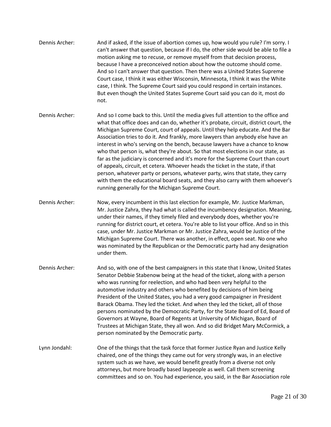- [Dennis Archer:](https://www.rev.com/transcript-editor/Edit?token=uAs2iybh1g9LWQ-hiJ-YBSCRJP-UueUKckf2C5yvS_kOUzHkwnarm0ddq0_U_ciw23S4Rt50Hxa38j6HUt9ad1ZAsXM&loadFrom=DocumentSpeakerNameDeeplink&ts=1151.49) And if asked, if the issue of abortion comes up, how would you rule? I'm sorry. I can't answer that question, because if I do, the other side would be able to file a motion asking me to recuse, or remove myself from that decision process, because I have a preconceived notion about how the outcome should come. And so I can't answer that question. Then there was a United States Supreme Court case, I think it was either Wisconsin, Minnesota, I think it was the White case, I think. The Supreme Court said you could respond in certain instances. But even though the United States Supreme Court said you can do it, most do not.
- [Dennis Archer:](https://www.rev.com/transcript-editor/Edit?token=5aSyOzkJoXzvBbFNh96jDHgl-qa4URSrJNWUCz1YzvigrTgf4z-vW4y84W3BRMPQ9SirMB2Od4VCbtk2hcuREoopetU&loadFrom=DocumentSpeakerNameDeeplink&ts=1204.1) And so I come back to this. Until the media gives full attention to the office and what that office does and can do, whether it's probate, circuit, district court, the Michigan Supreme Court, court of appeals. Until they help educate. And the Bar Association tries to do it. And frankly, more lawyers than anybody else have an interest in who's serving on the bench, because lawyers have a chance to know who that person is, what they're about. So that most elections in our state, as far as the judiciary is concerned and it's more for the Supreme Court than court of appeals, circuit, et cetera. Whoever heads the ticket in the state, if that person, whatever party or persons, whatever party, wins that state, they carry with them the educational board seats, and they also carry with them whoever's running generally for the Michigan Supreme Court.
- [Dennis Archer:](https://www.rev.com/transcript-editor/Edit?token=qJlnr75Rq-cMqJv9_fn33GePcL42U92m2XuuLsxx26JmhCZQquZp3p-4Qcm2_12H7OhyzOcpM_O04uydSNvYRoaBJYE&loadFrom=DocumentSpeakerNameDeeplink&ts=1288.5) Now, every incumbent in this last election for example, Mr. Justice Markman, Mr. Justice Zahra, they had what is called the incumbency designation. Meaning, under their names, if they timely filed and everybody does, whether you're running for district court, et cetera. You're able to list your office. And so in this case, under Mr. Justice Markman or Mr. Justice Zahra, would be Justice of the Michigan Supreme Court. There was another, in effect, open seat. No one who was nominated by the Republican or the Democratic party had any designation under them.
- [Dennis Archer:](https://www.rev.com/transcript-editor/Edit?token=vEIWcktFhctB6C5nACQFqvCwzpHZF9YRsTKDOIgtJiNav9o6CGjwU-DEqEITELdcIiqOy50tfOMuvoRoVhE2nK6m7OQ&loadFrom=DocumentSpeakerNameDeeplink&ts=1338.27) And so, with one of the best campaigners in this state that I know, United States Senator Debbie Stabenow being at the head of the ticket, along with a person who was running for reelection, and who had been very helpful to the automotive industry and others who benefited by decisions of him being President of the United States, you had a very good campaigner in President Barack Obama. They led the ticket. And when they led the ticket, all of those persons nominated by the Democratic Party, for the State Board of Ed, Board of Governors at Wayne, Board of Regents at University of Michigan, Board of Trustees at Michigan State, they all won. And so did Bridget Mary McCormick, a person nominated by the Democratic party.
- Lynn [Jondahl:](https://www.rev.com/transcript-editor/Edit?token=7hiLdH6Rm8V0wLvY0OE8Zvv9pCNo_ZZ6oe8Ngqe4mrcboEQpKr-svQNOCdW2MfX3OGfABoXt6ZeJPhYPKX4yyFXejf0&loadFrom=DocumentSpeakerNameDeeplink&ts=1396.06) One of the things that the task force that former Justice Ryan and Justice Kelly chaired, one of the things they came out for very strongly was, in an elective system such as we have, we would benefit greatly from a diverse not only attorneys, but more broadly based laypeople as well. Call them screening committees and so on. You had experience, you said, in the Bar Association role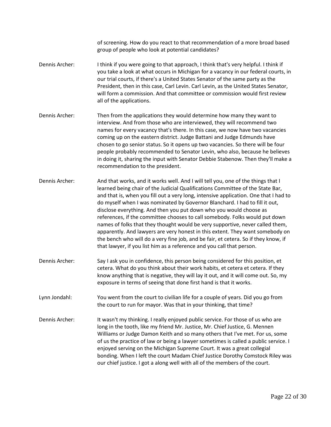of screening. How do you react to that recommendation of a more broad based group of people who look at potential candidates?

- [Dennis Archer:](https://www.rev.com/transcript-editor/Edit?token=eFY2tiFbRjTWGzQd4mhcjw6n5YOUaDky0iZdqom_vbjX-si_OHYpwpXrbc9YPJvX3w8GmHyVhWp7M06qYJq7lgtr_Xo&loadFrom=DocumentSpeakerNameDeeplink&ts=1440.25) I think if you were going to that approach, I think that's very helpful. I think if you take a look at what occurs in Michigan for a vacancy in our federal courts, in our trial courts, if there's a United States Senator of the same party as the President, then in this case, Carl Levin. Carl Levin, as the United States Senator, will form a commission. And that committee or commission would first review all of the applications.
- [Dennis Archer:](https://www.rev.com/transcript-editor/Edit?token=ikYJ--CKFHiD_p08oFiz3JeDZn1dvqvWsSFc3px_r3No2EyiWbu_0MaRxyv3DfV15jx8wuRvZyk4_9fZvaL4dq_BFlk&loadFrom=DocumentSpeakerNameDeeplink&ts=1474.35) Then from the applications they would determine how many they want to interview. And from those who are interviewed, they will recommend two names for every vacancy that's there. In this case, we now have two vacancies coming up on the eastern district. Judge Battani and Judge Edmunds have chosen to go senior status. So it opens up two vacancies. So there will be four people probably recommended to Senator Levin, who also, because he believes in doing it, sharing the input with Senator Debbie Stabenow. Then they'll make a recommendation to the president.
- [Dennis Archer:](https://www.rev.com/transcript-editor/Edit?token=y_z7lTaaQXRIGvgj4XmDiPfHHdoc-Prjv8i6VaS1yHoqb2yInPaWS2MMjurHZWZWvKOWi94VgZqgfbCDVqkTilwDRWw&loadFrom=DocumentSpeakerNameDeeplink&ts=1522) And that works, and it works well. And I will tell you, one of the things that I learned being chair of the Judicial Qualifications Committee of the State Bar, and that is, when you fill out a very long, intensive application. One that I had to do myself when I was nominated by Governor Blanchard. I had to fill it out, disclose everything. And then you put down who you would choose as references, if the committee chooses to call somebody. Folks would put down names of folks that they thought would be very supportive, never called them, apparently. And lawyers are very honest in this extent. They want somebody on the bench who will do a very fine job, and be fair, et cetera. So if they know, if that lawyer, if you list him as a reference and you call that person.
- [Dennis Archer:](https://www.rev.com/transcript-editor/Edit?token=L8WlXSyt8MSqcgwegHknPQDXwxMU1qeLUcE0MS85l9kwfTXjPeLjGBXfqkGFjd-bYze-zLw063pfa3GCVYnFqoXkrvU&loadFrom=DocumentSpeakerNameDeeplink&ts=1579.04) Say I ask you in confidence, this person being considered for this position, et cetera. What do you think about their work habits, et cetera et cetera. If they know anything that is negative, they will lay it out, and it will come out. So, my exposure in terms of seeing that done first hand is that it works.
- Lynn [Jondahl:](https://www.rev.com/transcript-editor/Edit?token=smZ990x127B2MFgpH0UPD4rx9I4emuw6QFuyfwni_t5oo4gP0-X7MNdD22xVJg5tN4NoNzwUY1bhDXf8Kh4mTegDMtw&loadFrom=DocumentSpeakerNameDeeplink&ts=1602.76) You went from the court to civilian life for a couple of years. Did you go from the court to run for mayor. Was that in your thinking, that time?
- [Dennis Archer:](https://www.rev.com/transcript-editor/Edit?token=_oy7AMBf30MMVnoQa5660RavlhO5DW1T7IPK0RflhstpgSU4t4yhqrHmpTxJ20Beld0KL7msV-rm0Rch8-NIxUw-ZPU&loadFrom=DocumentSpeakerNameDeeplink&ts=1614.43) It wasn't my thinking. I really enjoyed public service. For those of us who are long in the tooth, like my friend Mr. Justice, Mr. Chief Justice, G. Mennen Williams or Judge Damon Keith and so many others that I've met. For us, some of us the practice of law or being a lawyer sometimes is called a public service. I enjoyed serving on the Michigan Supreme Court. It was a great collegial bonding. When I left the court Madam Chief Justice Dorothy Comstock Riley was our chief justice. I got a along well with all of the members of the court.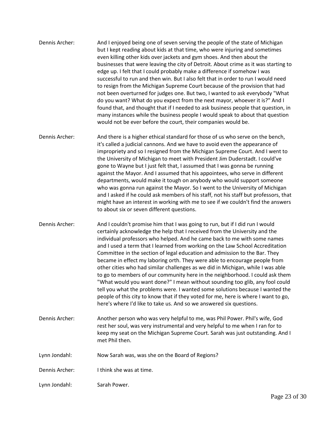| Dennis Archer: | And I enjoyed being one of seven serving the people of the state of Michigan        |
|----------------|-------------------------------------------------------------------------------------|
|                | but I kept reading about kids at that time, who were injuring and sometimes         |
|                | even killing other kids over jackets and gym shoes. And then about the              |
|                | businesses that were leaving the city of Detroit. About crime as it was starting to |
|                | edge up. I felt that I could probably make a difference if somehow I was            |
|                | successful to run and then win. But I also felt that in order to run I would need   |
|                | to resign from the Michigan Supreme Court because of the provision that had         |
|                | not been overturned for judges one. But two, I wanted to ask everybody "What        |
|                | do you want? What do you expect from the next mayor, whoever it is?" And I          |
|                | found that, and thought that if I needed to ask business people that question, in   |
|                | many instances while the business people I would speak to about that question       |
|                | would not be ever before the court, their companies would be.                       |

Dennis Archer: And there is a higher ethical standard for those of us who serve on the bench, it's called a judicial cannons. And we have to avoid even the appearance of impropriety and so I resigned from the Michigan Supreme Court. And I went to the University of Michigan to meet with President Jim Duderstadt. I could've gone to Wayne but I just felt that, I assumed that I was gonna be running against the Mayor. And I assumed that his appointees, who serve in different departments, would make it tough on anybody who would support someone who was gonna run against the Mayor. So I went to the University of Michigan and I asked if he could ask members of his staff, not his staff but professors, that might have an interest in working with me to see if we couldn't find the answers to about six or seven different questions.

Dennis Archer: And I couldn't promise him that I was going to run, but if I did run I would certainly acknowledge the help that I received from the University and the individual professors who helped. And he came back to me with some names and I used a term that I learned from working on the Law School Accreditation Committee in the section of legal education and admission to the Bar. They became in effect my laboring orth. They were able to encourage people from other cities who had similar challenges as we did in Michigan, while I was able to go to members of our community here in the neighborhood. I could ask them "What would you want done?" I mean without sounding too glib, any fool could tell you what the problems were. I wanted some solutions because I wanted the people of this city to know that if they voted for me, here is where I want to go, here's where I'd like to take us. And so we answered six questions.

- Dennis Archer: Another person who was very helpful to me, was Phil Power. Phil's wife, God rest her soul, was very instrumental and very helpful to me when I ran for to keep my seat on the Michigan Supreme Court. Sarah was just outstanding. And I met Phil then.
- Lynn Jondahl: Now Sarah was, was she on the Board of Regions?
- Dennis Archer: I think she was at time.

Lynn Jondahl: Sarah Power.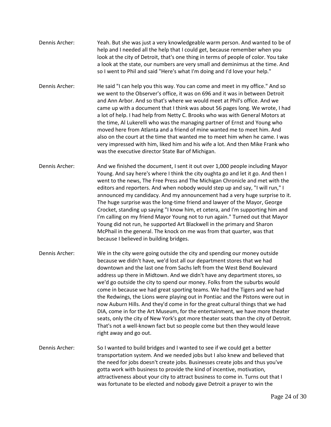- Dennis Archer: Yeah. But she was just a very knowledgeable warm person. And wanted to be of help and I needed all the help that I could get, because remember when you look at the city of Detroit, that's one thing in terms of people of color. You take a look at the state, our numbers are very small and deminimus at the time. And so I went to Phil and said "Here's what I'm doing and I'd love your help."
- Dennis Archer: He said "I can help you this way. You can come and meet in my office." And so we went to the Observer's office, it was on 696 and it was in between Detroit and Ann Arbor. And so that's where we would meet at Phil's office. And we came up with a document that I think was about 56 pages long. We wrote, I had a lot of help. I had help from Netty C. Brooks who was with General Motors at the time, Al Lukerelli who was the managing partner of Ernst and Young who moved here from Atlanta and a friend of mine wanted me to meet him. And also on the court at the time that wanted me to meet him when he came. I was very impressed with him, liked him and his wife a lot. And then Mike Frank who was the executive director State Bar of Michigan.
- Dennis Archer: And we finished the document, I sent it out over 1,000 people including Mayor Young. And say here's where I think the city oughta go and let it go. And then I went to the news, The Free Press and The Michigan Chronicle and met with the editors and reporters. And when nobody would step up and say, "I will run," I announced my candidacy. And my announcement had a very huge surprise to it. The huge surprise was the long-time friend and lawyer of the Mayor, George Crocket, standing up saying "I know him, et cetera, and I'm supporting him and I'm calling on my friend Mayor Young not to run again." Turned out that Mayor Young did not run, he supported Art Blackwell in the primary and Sharon McPhail in the general. The knock on me was from that quarter, was that because I believed in building bridges.
- Dennis Archer: We in the city were going outside the city and spending our money outside because we didn't have, we'd lost all our department stores that we had downtown and the last one from Sachs left from the West Bend Boulevard address up there in Midtown. And we didn't have any department stores, so we'd go outside the city to spend our money. Folks from the suburbs would come in because we had great sporting teams. We had the Tigers and we had the Redwings, the Lions were playing out in Pontiac and the Pistons were out in now Auburn Hills. And they'd come in for the great cultural things that we had DIA, come in for the Art Museum, for the entertainment, we have more theater seats, only the city of New York's got more theater seats than the city of Detroit. That's not a well-known fact but so people come but then they would leave right away and go out.
- Dennis Archer: So I wanted to build bridges and I wanted to see if we could get a better transportation system. And we needed jobs but I also knew and believed that the need for jobs doesn't create jobs. Businesses create jobs and thus you've gotta work with business to provide the kind of incentive, motivation, attractiveness about your city to attract business to come in. Turns out that I was fortunate to be elected and nobody gave Detroit a prayer to win the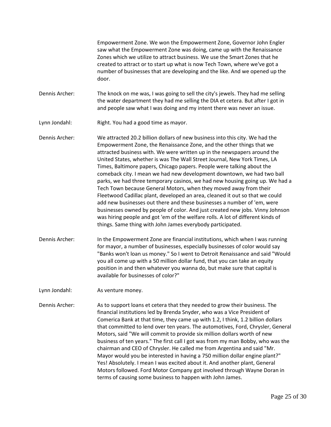Empowerment Zone. We won the Empowerment Zone, Governor John Engler saw what the Empowerment Zone was doing, came up with the Renaissance Zones which we utilize to attract business. We use the Smart Zones that he created to attract or to start up what is now Tech Town, where we've got a number of businesses that are developing and the like. And we opened up the door.

Dennis Archer: The knock on me was, I was going to sell the city's jewels. They had me selling the water department they had me selling the DIA et cetera. But after I got in and people saw what I was doing and my intent there was never an issue.

Lynn Jondahl: Right. You had a good time as mayor.

Dennis Archer: We attracted 20.2 billion dollars of new business into this city. We had the Empowerment Zone, the Renaissance Zone, and the other things that we attracted business with. We were written up in the newspapers around the United States, whether is was The Wall Street Journal, New York Times, LA Times, Baltimore papers, Chicago papers. People were talking about the comeback city. I mean we had new development downtown, we had two ball parks, we had three temporary casinos, we had new housing going up. We had a Tech Town because General Motors, when they moved away from their Fleetwood Cadillac plant, developed an area, cleaned it out so that we could add new businesses out there and these businesses a number of 'em, were businesses owned by people of color. And just created new jobs. Vinny Johnson was hiring people and got 'em of the welfare rolls. A lot of different kinds of things. Same thing with John James everybody participated.

Dennis Archer: In the Empowerment Zone are financial institutions, which when I was running for mayor, a number of businesses, especially businesses of color would say "Banks won't loan us money." So I went to Detroit Renaissance and said "Would you all come up with a 50 million dollar fund, that you can take an equity position in and then whatever you wanna do, but make sure that capital is available for businesses of color?"

Lynn Jondahl: As venture money.

Dennis Archer: As to support loans et cetera that they needed to grow their business. The financial institutions led by Brenda Snyder, who was a Vice President of Comerica Bank at that time, they came up with 1.2, I think, 1.2 billion dollars that committed to lend over ten years. The automotives, Ford, Chrysler, General Motors, said "We will commit to provide six million dollars worth of new business of ten years." The first call I got was from my man Bobby, who was the chairman and CEO of Chrysler. He called me from Argentina and said "Mr. Mayor would you be interested in having a 750 million dollar engine plant?" Yes! Absolutely. I mean I was excited about it. And another plant, General Motors followed. Ford Motor Company got involved through Wayne Doran in terms of causing some business to happen with John James.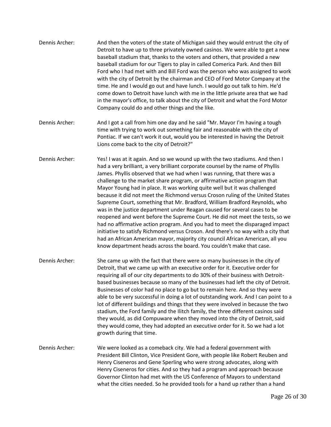- Dennis Archer: And then the voters of the state of Michigan said they would entrust the city of Detroit to have up to three privately owned casinos. We were able to get a new baseball stadium that, thanks to the voters and others, that provided a new baseball stadium for our Tigers to play in called Comerica Park. And then Bill Ford who I had met with and Bill Ford was the person who was assigned to work with the city of Detroit by the chairman and CEO of Ford Motor Company at the time. He and I would go out and have lunch. I would go out talk to him. He'd come down to Detroit have lunch with me in the little private area that we had in the mayor's office, to talk about the city of Detroit and what the Ford Motor Company could do and other things and the like.
- Dennis Archer: And I got a call from him one day and he said "Mr. Mayor I'm having a tough time with trying to work out something fair and reasonable with the city of Pontiac. If we can't work it out, would you be interested in having the Detroit Lions come back to the city of Detroit?"
- Dennis Archer: Yes! I was at it again. And so we wound up with the two stadiums. And then I had a very brilliant, a very brilliant corporate counsel by the name of Phyllis James. Phyllis observed that we had when I was running, that there was a challenge to the market share program, or affirmative action program that Mayor Young had in place. It was working quite well but it was challenged because it did not meet the Richmond versus Croson ruling of the United States Supreme Court, something that Mr. Bradford, William Bradford Reynolds, who was in the justice department under Reagan caused for several cases to be reopened and went before the Supreme Court. He did not meet the tests, so we had no affirmative action program. And you had to meet the disparaged impact initiative to satisfy Richmond versus Croson. And there's no way with a city that had an African American mayor, majority city council African American, all you know department heads across the board. You couldn't make that case.
- Dennis Archer: She came up with the fact that there were so many businesses in the city of Detroit, that we came up with an executive order for it. Executive order for requiring all of our city departments to do 30% of their business with Detroitbased businesses because so many of the businesses had left the city of Detroit. Businesses of color had no place to go but to remain here. And so they were able to be very successful in doing a lot of outstanding work. And I can point to a lot of different buildings and things that they were involved in because the two stadium, the Ford family and the Ilitch family, the three different casinos said they would, as did Compuware when they moved into the city of Detroit, said they would come, they had adopted an executive order for it. So we had a lot growth during that time.
- Dennis Archer: We were looked as a comeback city. We had a federal government with President Bill Clinton, Vice President Gore, with people like Robert Reuben and Henry Ciseneros and Gene Sperling who were strong advocates, along with Henry Ciseneros for cities. And so they had a program and approach because Governor Clinton had met with the US Conference of Mayors to understand what the cities needed. So he provided tools for a hand up rather than a hand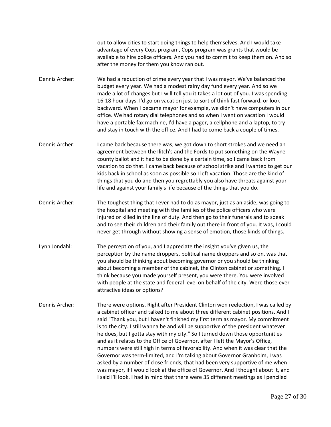out to allow cities to start doing things to help themselves. And I would take advantage of every Cops program, Cops program was grants that would be available to hire police officers. And you had to commit to keep them on. And so after the money for them you know ran out.

- Dennis Archer: We had a reduction of crime every year that I was mayor. We've balanced the budget every year. We had a modest rainy day fund every year. And so we made a lot of changes but I will tell you it takes a lot out of you. I was spending 16-18 hour days. I'd go on vacation just to sort of think fast forward, or look backward. When I became mayor for example, we didn't have computers in our office. We had rotary dial telephones and so when I went on vacation I would have a portable fax machine, I'd have a pager, a cellphone and a laptop, to try and stay in touch with the office. And I had to come back a couple of times.
- Dennis Archer: I came back because there was, we got down to short strokes and we need an agreement between the Ilitch's and the Fords to put something on the Wayne county ballot and it had to be done by a certain time, so I came back from vacation to do that. I came back because of school strike and I wanted to get our kids back in school as soon as possible so I left vacation. Those are the kind of things that you do and then you regrettably you also have threats against your life and against your family's life because of the things that you do.
- Dennis Archer: The toughest thing that I ever had to do as mayor, just as an aside, was going to the hospital and meeting with the families of the police officers who were injured or killed in the line of duty. And then go to their funerals and to speak and to see their children and their family out there in front of you. It was, I could never get through without showing a sense of emotion, those kinds of things.
- Lynn Jondahl: The perception of you, and I appreciate the insight you've given us, the perception by the name droppers, political name droppers and so on, was that you should be thinking about becoming governor or you should be thinking about becoming a member of the cabinet, the Clinton cabinet or something. I think because you made yourself present, you were there. You were involved with people at the state and federal level on behalf of the city. Were those ever attractive ideas or options?
- Dennis Archer: There were options. Right after President Clinton won reelection, I was called by a cabinet officer and talked to me about three different cabinet positions. And I said "Thank you, but I haven't finished my first term as mayor. My commitment is to the city. I still wanna be and will be supportive of the president whatever he does, but I gotta stay with my city." So I turned down those opportunities and as it relates to the Office of Governor, after I left the Mayor's Office, numbers were still high in terms of favorability. And when it was clear that the Governor was term-limited, and I'm talking about Governor Granholm, I was asked by a number of close friends, that had been very supportive of me when I was mayor, if I would look at the office of Governor. And I thought about it, and I said I'll look. I had in mind that there were 35 different meetings as I penciled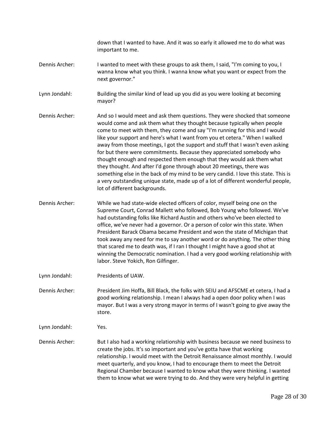down that I wanted to have. And it was so early it allowed me to do what was important to me.

- Dennis Archer: I wanted to meet with these groups to ask them, I said, "I'm coming to you, I wanna know what you think. I wanna know what you want or expect from the next governor."
- Lynn Jondahl: Building the similar kind of lead up you did as you were looking at becoming mayor?
- Dennis Archer: And so I would meet and ask them questions. They were shocked that someone would come and ask them what they thought because typically when people come to meet with them, they come and say "I'm running for this and I would like your support and here's what I want from you et cetera." When I walked away from those meetings, I got the support and stuff that I wasn't even asking for but there were commitments. Because they appreciated somebody who thought enough and respected them enough that they would ask them what they thought. And after I'd gone through about 20 meetings, there was something else in the back of my mind to be very candid. I love this state. This is a very outstanding unique state, made up of a lot of different wonderful people, lot of different backgrounds.
- Dennis Archer: While we had state-wide elected officers of color, myself being one on the Supreme Court, Conrad Mallett who followed, Bob Young who followed. We've had outstanding folks like Richard Austin and others who've been elected to office, we've never had a governor. Or a person of color win this state. When President Barack Obama became President and won the state of Michigan that took away any need for me to say another word or do anything. The other thing that scared me to death was, if I ran I thought I might have a good shot at winning the Democratic nomination. I had a very good working relationship with labor. Steve Yokich, Ron Gilfinger.
- Lynn Jondahl: Presidents of UAW.
- Dennis Archer: President Jim Hoffa, Bill Black, the folks with SEIU and AFSCME et cetera, I had a good working relationship. I mean I always had a open door policy when I was mayor. But I was a very strong mayor in terms of I wasn't going to give away the store.
- Lynn Jondahl: Yes.
- Dennis Archer: But I also had a working relationship with business because we need business to create the jobs. It's so important and you've gotta have that working relationship. I would meet with the Detroit Renaissance almost monthly. I would meet quarterly, and you know, I had to encourage them to meet the Detroit Regional Chamber because I wanted to know what they were thinking. I wanted them to know what we were trying to do. And they were very helpful in getting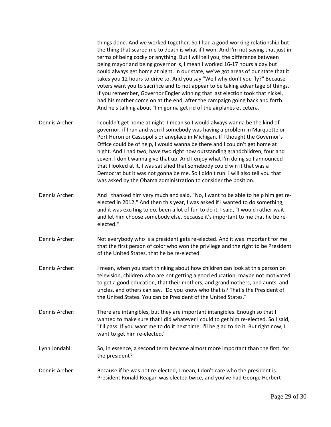|                | things done. And we worked together. So I had a good working relationship but<br>the thing that scared me to death is what if I won. And I'm not saying that just in<br>terms of being cocky or anything. But I will tell you, the difference between<br>being mayor and being governor is, I mean I worked 16-17 hours a day but I<br>could always get home at night. In our state, we've got areas of our state that it<br>takes you 12 hours to drive to. And you say "Well why don't you fly?" Because<br>voters want you to sacrifice and to not appear to be taking advantage of things.<br>If you remember, Governor Engler winning that last election took that nickel,<br>had his mother come on at the end, after the campaign going back and forth.<br>And he's talking about "I'm gonna get rid of the airplanes et cetera." |
|----------------|------------------------------------------------------------------------------------------------------------------------------------------------------------------------------------------------------------------------------------------------------------------------------------------------------------------------------------------------------------------------------------------------------------------------------------------------------------------------------------------------------------------------------------------------------------------------------------------------------------------------------------------------------------------------------------------------------------------------------------------------------------------------------------------------------------------------------------------|
| Dennis Archer: | I couldn't get home at night. I mean so I would always wanna be the kind of<br>governor, if I ran and won if somebody was having a problem in Marquette or<br>Port Huron or Cassopolis or anyplace in Michigan. If I thought the Governor's<br>Office could be of help, I would wanna be there and I couldn't get home at<br>night. And I had two, have two right now outstanding grandchildren, four and<br>seven. I don't wanna give that up. And I enjoy what I'm doing so I announced<br>that I looked at it, I was satisfied that somebody could win it that was a<br>Democrat but it was not gonna be me. So I didn't run. I will also tell you that I<br>was asked by the Obama administration to consider the position.                                                                                                          |
| Dennis Archer: | And I thanked him very much and said, "No, I want to be able to help him get re-<br>elected in 2012." And then this year, I was asked if I wanted to do something,<br>and it was exciting to do, been a lot of fun to do it. I said, "I would rather wait<br>and let him choose somebody else, because it's important to me that he be re-<br>elected."                                                                                                                                                                                                                                                                                                                                                                                                                                                                                  |
| Dennis Archer: | Not everybody who is a president gets re-elected. And it was important for me<br>that the first person of color who won the privilege and the right to be President<br>of the United States, that he be re-elected.                                                                                                                                                                                                                                                                                                                                                                                                                                                                                                                                                                                                                      |
| Dennis Archer: | I mean, when you start thinking about how children can look at this person on<br>television, children who are not getting a good education, maybe not motivated<br>to get a good education, that their mothers, and grandmothers, and aunts, and<br>uncles, and others can say, "Do you know who that is? That's the President of<br>the United States. You can be President of the United States."                                                                                                                                                                                                                                                                                                                                                                                                                                      |
| Dennis Archer: | There are intangibles, but they are important intangibles. Enough so that I<br>wanted to make sure that I did whatever I could to get him re-elected. So I said,<br>"I'll pass. If you want me to do it next time, I'll be glad to do it. But right now, I<br>want to get him re-elected."                                                                                                                                                                                                                                                                                                                                                                                                                                                                                                                                               |
| Lynn Jondahl:  | So, in essence, a second term became almost more important than the first, for<br>the president?                                                                                                                                                                                                                                                                                                                                                                                                                                                                                                                                                                                                                                                                                                                                         |
| Dennis Archer: | Because if he was not re-elected, I mean, I don't care who the president is.<br>President Ronald Reagan was elected twice, and you've had George Herbert                                                                                                                                                                                                                                                                                                                                                                                                                                                                                                                                                                                                                                                                                 |